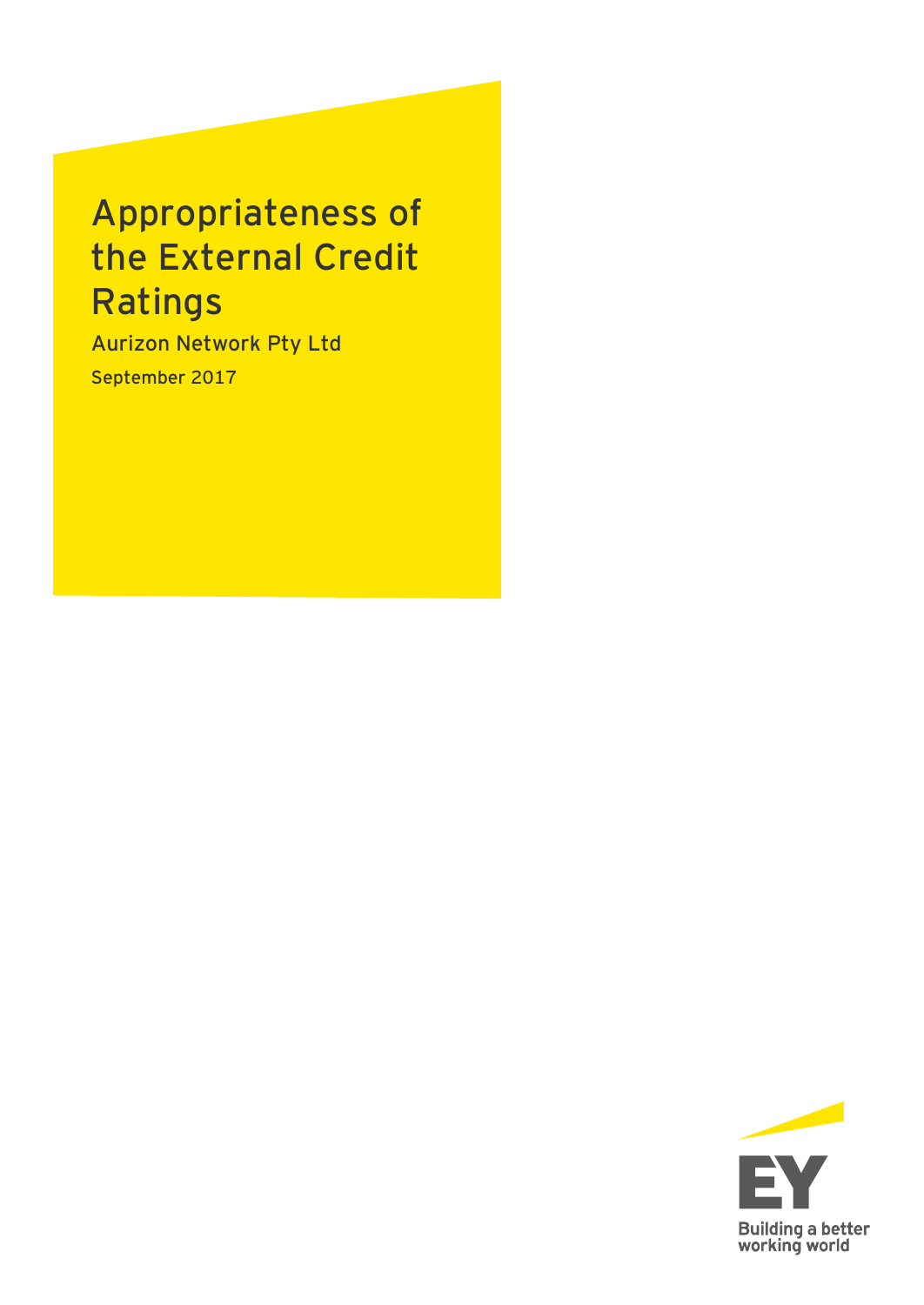# Appropriateness of the External Credit Ratings

Aurizon Network Pty Ltd September 2017

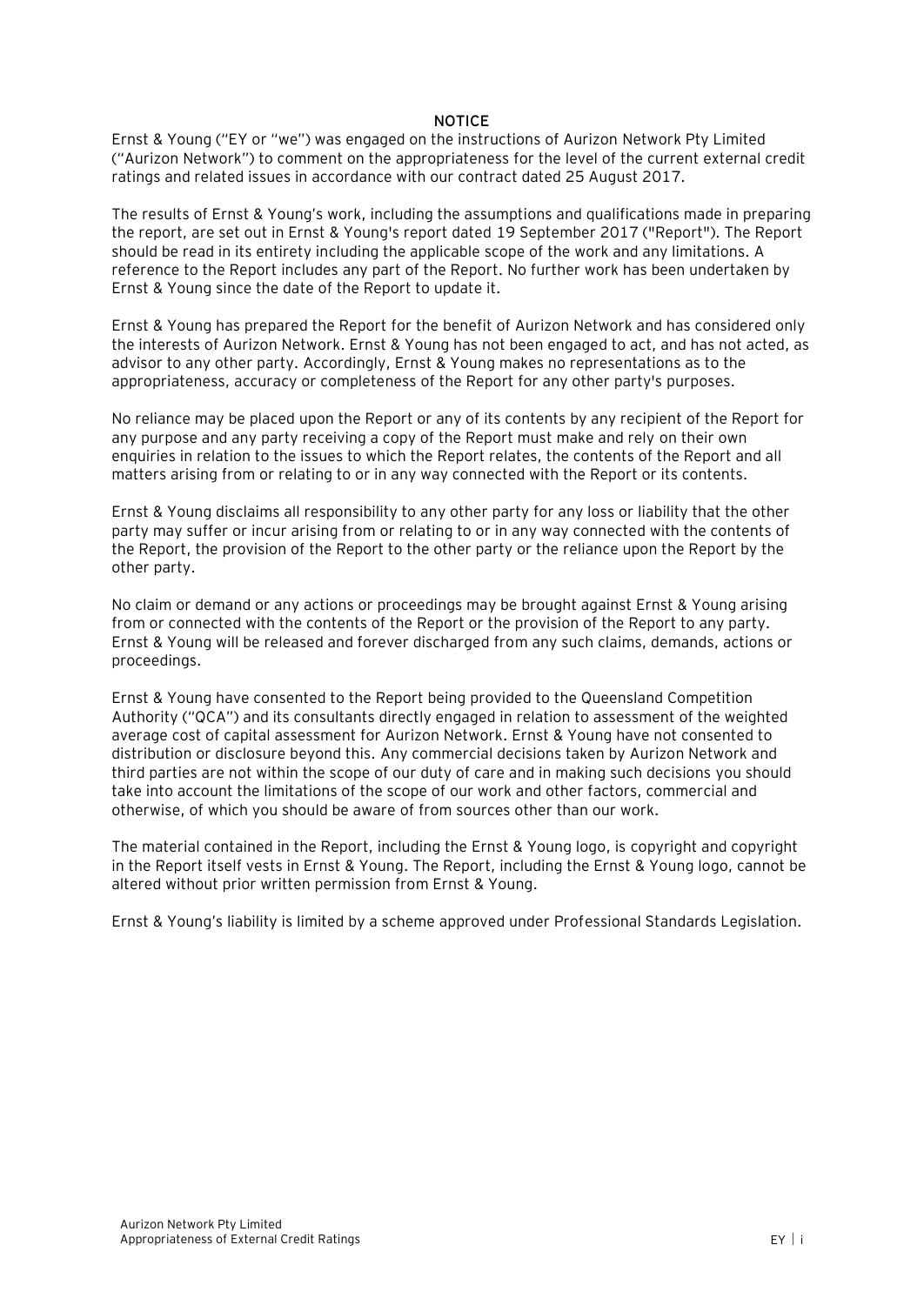#### **NOTICE**

Ernst & Young ("EY or "we") was engaged on the instructions of Aurizon Network Pty Limited ("Aurizon Network") to comment on the appropriateness for the level of the current external credit ratings and related issues in accordance with our contract dated 25 August 2017.

The results of Ernst & Young's work, including the assumptions and qualifications made in preparing the report, are set out in Ernst & Young's report dated 19 September 2017 ("Report"). The Report should be read in its entirety including the applicable scope of the work and any limitations. A reference to the Report includes any part of the Report. No further work has been undertaken by Ernst & Young since the date of the Report to update it.

Ernst & Young has prepared the Report for the benefit of Aurizon Network and has considered only the interests of Aurizon Network. Ernst & Young has not been engaged to act, and has not acted, as advisor to any other party. Accordingly, Ernst & Young makes no representations as to the appropriateness, accuracy or completeness of the Report for any other party's purposes.

No reliance may be placed upon the Report or any of its contents by any recipient of the Report for any purpose and any party receiving a copy of the Report must make and rely on their own enquiries in relation to the issues to which the Report relates, the contents of the Report and all matters arising from or relating to or in any way connected with the Report or its contents.

Ernst & Young disclaims all responsibility to any other party for any loss or liability that the other party may suffer or incur arising from or relating to or in any way connected with the contents of the Report, the provision of the Report to the other party or the reliance upon the Report by the other party.

No claim or demand or any actions or proceedings may be brought against Ernst & Young arising from or connected with the contents of the Report or the provision of the Report to any party. Ernst & Young will be released and forever discharged from any such claims, demands, actions or proceedings.

Ernst & Young have consented to the Report being provided to the Queensland Competition Authority ("QCA") and its consultants directly engaged in relation to assessment of the weighted average cost of capital assessment for Aurizon Network. Ernst & Young have not consented to distribution or disclosure beyond this. Any commercial decisions taken by Aurizon Network and third parties are not within the scope of our duty of care and in making such decisions you should take into account the limitations of the scope of our work and other factors, commercial and otherwise, of which you should be aware of from sources other than our work.

The material contained in the Report, including the Ernst & Young logo, is copyright and copyright in the Report itself vests in Ernst & Young. The Report, including the Ernst & Young logo, cannot be altered without prior written permission from Ernst & Young.

Ernst & Young's liability is limited by a scheme approved under Professional Standards Legislation.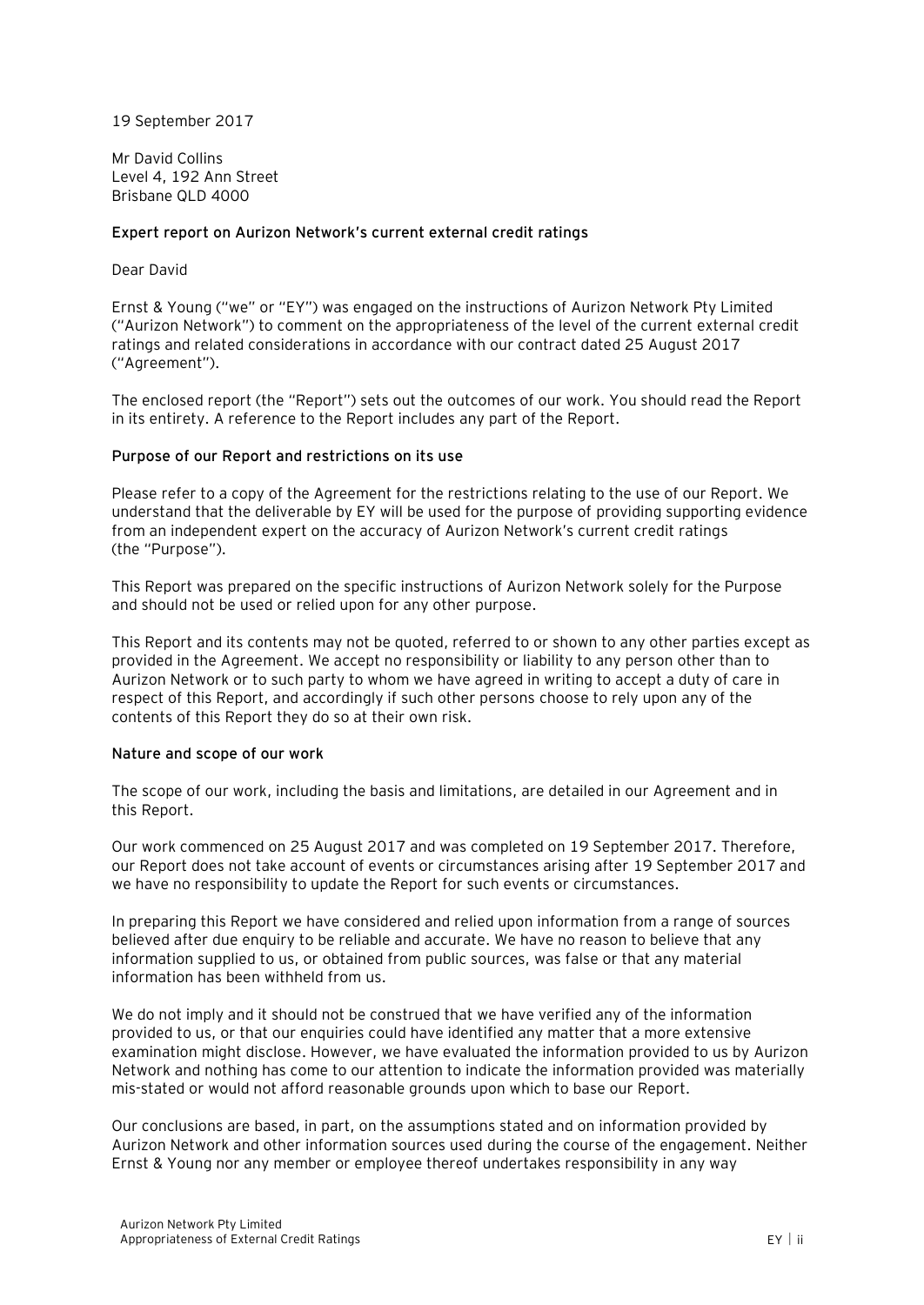19 September 2017

Mr David Collins Level 4, 192 Ann Street Brisbane QLD 4000

#### **Expert report on Aurizon Network's current external credit ratings**

#### Dear David

Ernst & Young ("we" or "EY") was engaged on the instructions of Aurizon Network Pty Limited ("Aurizon Network") to comment on the appropriateness of the level of the current external credit ratings and related considerations in accordance with our contract dated 25 August 2017 ("Agreement").

The enclosed report (the "Report") sets out the outcomes of our work. You should read the Report in its entirety. A reference to the Report includes any part of the Report.

#### **Purpose of our Report and restrictions on its use**

Please refer to a copy of the Agreement for the restrictions relating to the use of our Report. We understand that the deliverable by EY will be used for the purpose of providing supporting evidence from an independent expert on the accuracy of Aurizon Network's current credit ratings (the "Purpose").

This Report was prepared on the specific instructions of Aurizon Network solely for the Purpose and should not be used or relied upon for any other purpose.

This Report and its contents may not be quoted, referred to or shown to any other parties except as provided in the Agreement. We accept no responsibility or liability to any person other than to Aurizon Network or to such party to whom we have agreed in writing to accept a duty of care in respect of this Report, and accordingly if such other persons choose to rely upon any of the contents of this Report they do so at their own risk.

#### **Nature and scope of our work**

The scope of our work, including the basis and limitations, are detailed in our Agreement and in this Report.

Our work commenced on 25 August 2017 and was completed on 19 September 2017. Therefore, our Report does not take account of events or circumstances arising after 19 September 2017 and we have no responsibility to update the Report for such events or circumstances.

In preparing this Report we have considered and relied upon information from a range of sources believed after due enquiry to be reliable and accurate. We have no reason to believe that any information supplied to us, or obtained from public sources, was false or that any material information has been withheld from us.

We do not imply and it should not be construed that we have verified any of the information provided to us, or that our enquiries could have identified any matter that a more extensive examination might disclose. However, we have evaluated the information provided to us by Aurizon Network and nothing has come to our attention to indicate the information provided was materially mis-stated or would not afford reasonable grounds upon which to base our Report.

Our conclusions are based, in part, on the assumptions stated and on information provided by Aurizon Network and other information sources used during the course of the engagement. Neither Ernst & Young nor any member or employee thereof undertakes responsibility in any way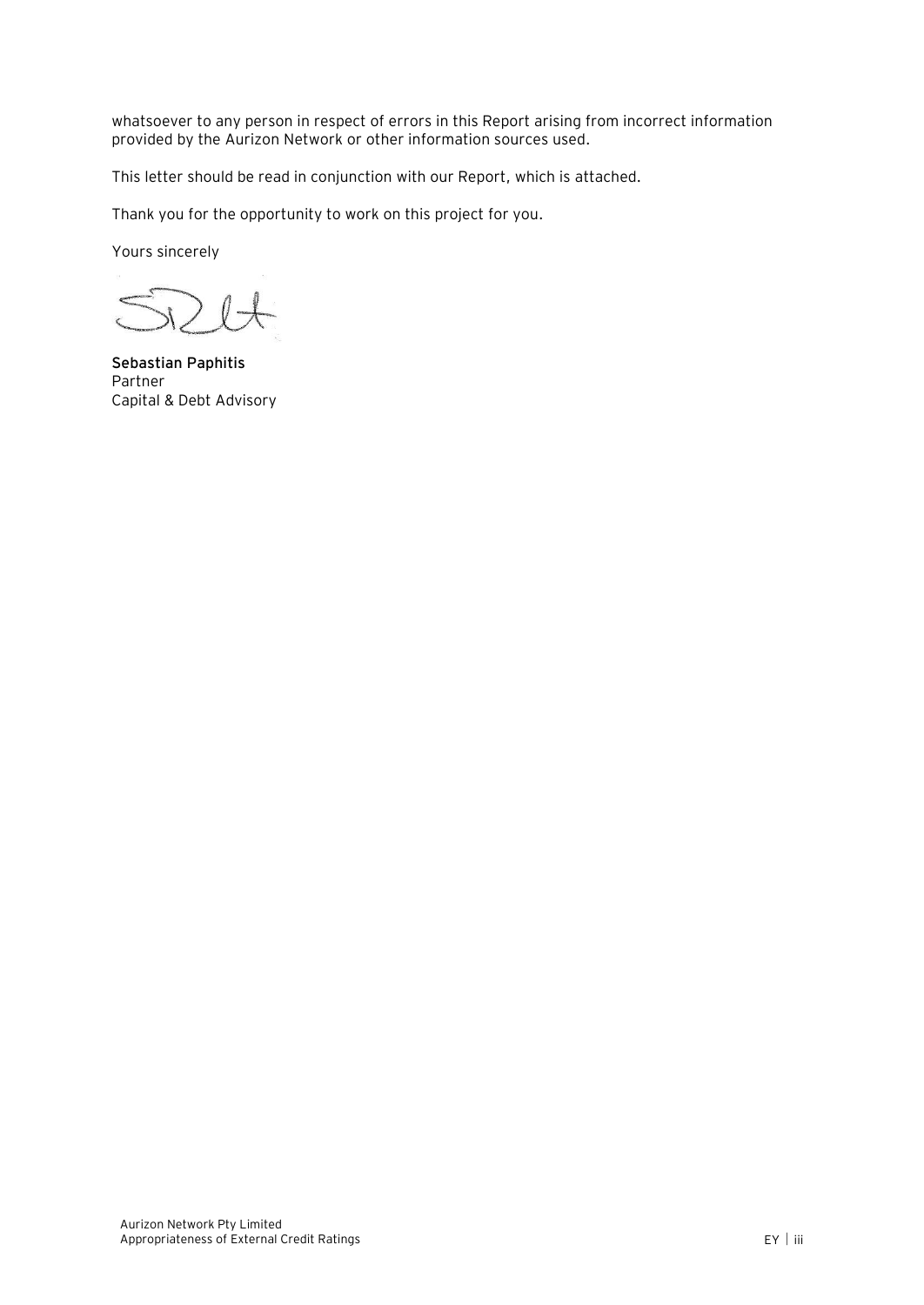whatsoever to any person in respect of errors in this Report arising from incorrect information provided by the Aurizon Network or other information sources used.

This letter should be read in conjunction with our Report, which is attached.

Thank you for the opportunity to work on this project for you.

Yours sincerely

 $\sqrt{ }$ 

**Sebastian Paphitis** Partner Capital & Debt Advisory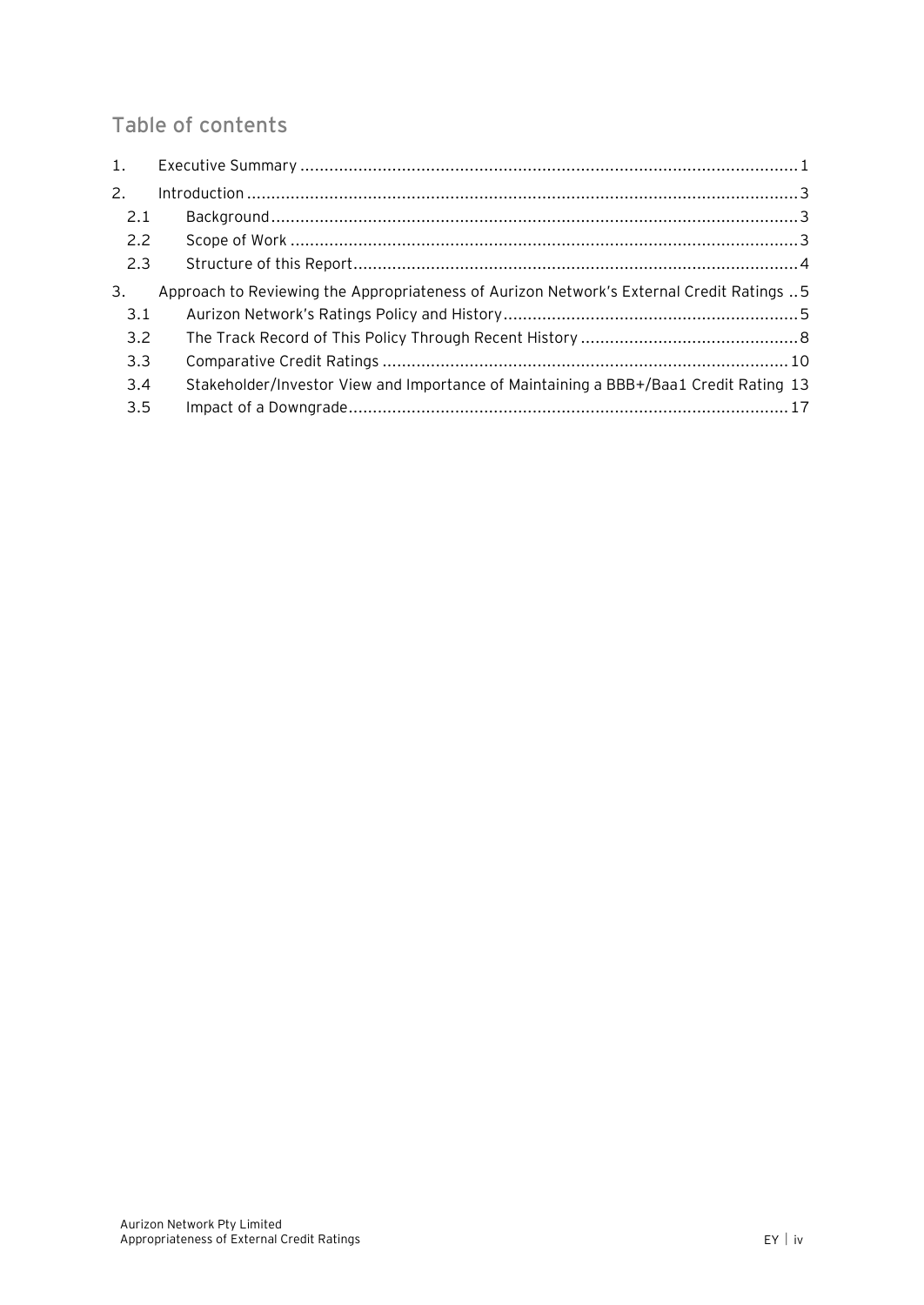# Table of contents

| $\mathbf{1}$ . |                                                                                          |
|----------------|------------------------------------------------------------------------------------------|
| 2.             |                                                                                          |
| 2.1            |                                                                                          |
| 2.2            |                                                                                          |
| 2.3            |                                                                                          |
| 3.             | Approach to Reviewing the Appropriateness of Aurizon Network's External Credit Ratings 5 |
| 3.1            |                                                                                          |
| 3.2            |                                                                                          |
| 3.3            |                                                                                          |
| 3.4            | Stakeholder/Investor View and Importance of Maintaining a BBB+/Baa1 Credit Rating 13     |
| 3.5            |                                                                                          |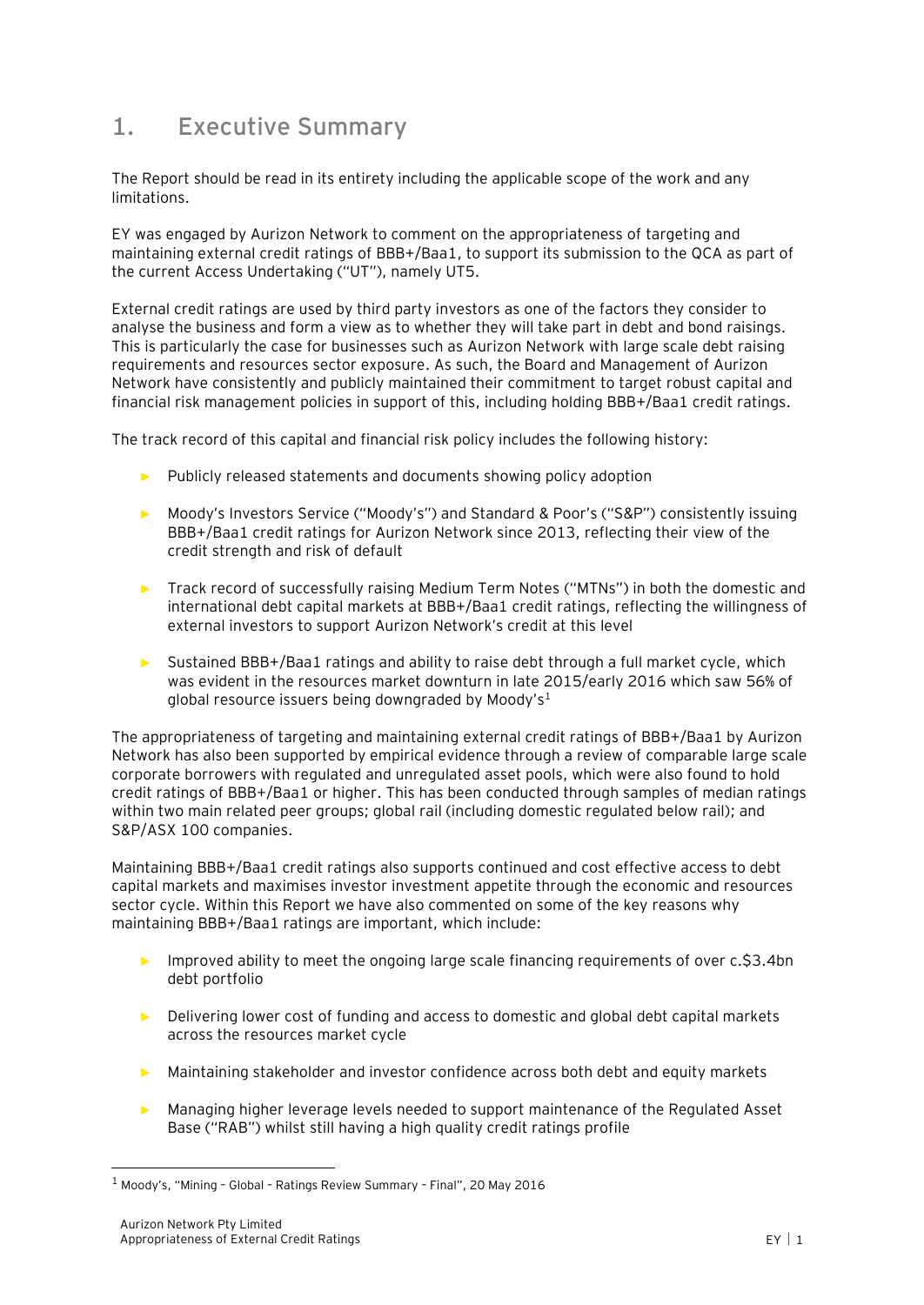# <span id="page-5-0"></span>**1. Executive Summary**

The Report should be read in its entirety including the applicable scope of the work and any limitations.

EY was engaged by Aurizon Network to comment on the appropriateness of targeting and maintaining external credit ratings of BBB+/Baa1, to support its submission to the QCA as part of the current Access Undertaking ("UT"), namely UT5.

External credit ratings are used by third party investors as one of the factors they consider to analyse the business and form a view as to whether they will take part in debt and bond raisings. This is particularly the case for businesses such as Aurizon Network with large scale debt raising requirements and resources sector exposure. As such, the Board and Management of Aurizon Network have consistently and publicly maintained their commitment to target robust capital and financial risk management policies in support of this, including holding BBB+/Baa1 credit ratings.

The track record of this capital and financial risk policy includes the following history:

- ► Publicly released statements and documents showing policy adoption
- ► Moody's Investors Service ("Moody's") and Standard & Poor's ("S&P") consistently issuing BBB+/Baa1 credit ratings for Aurizon Network since 2013, reflecting their view of the credit strength and risk of default
- ► Track record of successfully raising Medium Term Notes ("MTNs") in both the domestic and international debt capital markets at BBB+/Baa1 credit ratings, reflecting the willingness of external investors to support Aurizon Network's credit at this level
- ► Sustained BBB+/Baa1 ratings and ability to raise debt through a full market cycle, which was evident in the resources market downturn in late 2015/early 2016 which saw 56% of global resource issuers being downgraded by Moody's<sup>1</sup>

The appropriateness of targeting and maintaining external credit ratings of BBB+/Baa1 by Aurizon Network has also been supported by empirical evidence through a review of comparable large scale corporate borrowers with regulated and unregulated asset pools, which were also found to hold credit ratings of BBB+/Baa1 or higher. This has been conducted through samples of median ratings within two main related peer groups; global rail (including domestic regulated below rail); and S&P/ASX 100 companies.

Maintaining BBB+/Baa1 credit ratings also supports continued and cost effective access to debt capital markets and maximises investor investment appetite through the economic and resources sector cycle. Within this Report we have also commented on some of the key reasons why maintaining BBB+/Baa1 ratings are important, which include:

- ► Improved ability to meet the ongoing large scale financing requirements of over c.\$3.4bn debt portfolio
- ► Delivering lower cost of funding and access to domestic and global debt capital markets across the resources market cycle
- ► Maintaining stakeholder and investor confidence across both debt and equity markets
- ► Managing higher leverage levels needed to support maintenance of the Regulated Asset Base ("RAB") whilst still having a high quality credit ratings profile

 $1$  Moody's, "Mining - Global - Ratings Review Summary - Final", 20 May 2016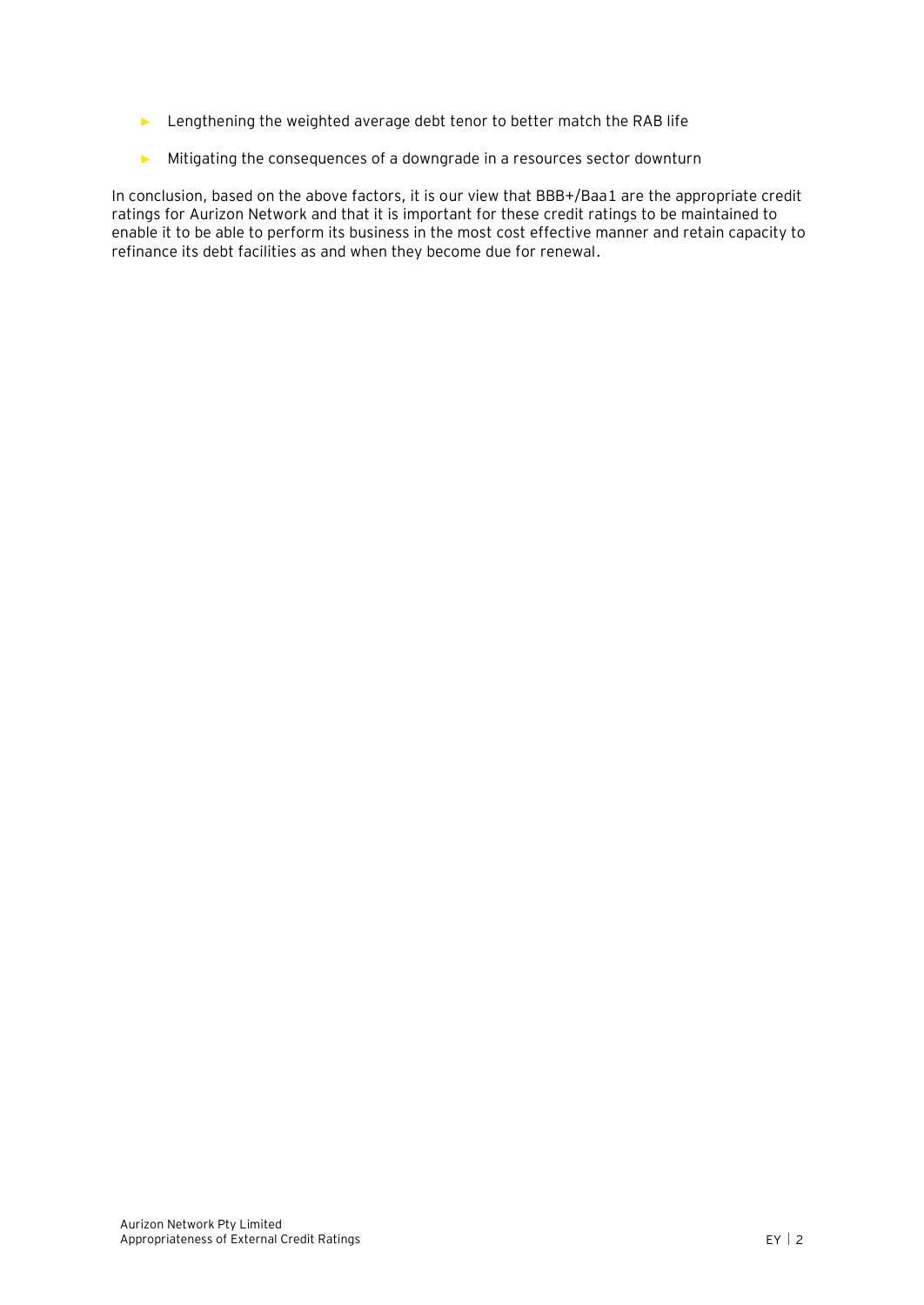- ► Lengthening the weighted average debt tenor to better match the RAB life
- ► Mitigating the consequences of a downgrade in a resources sector downturn

In conclusion, based on the above factors, it is our view that BBB+/Baa1 are the appropriate credit ratings for Aurizon Network and that it is important for these credit ratings to be maintained to enable it to be able to perform its business in the most cost effective manner and retain capacity to refinance its debt facilities as and when they become due for renewal.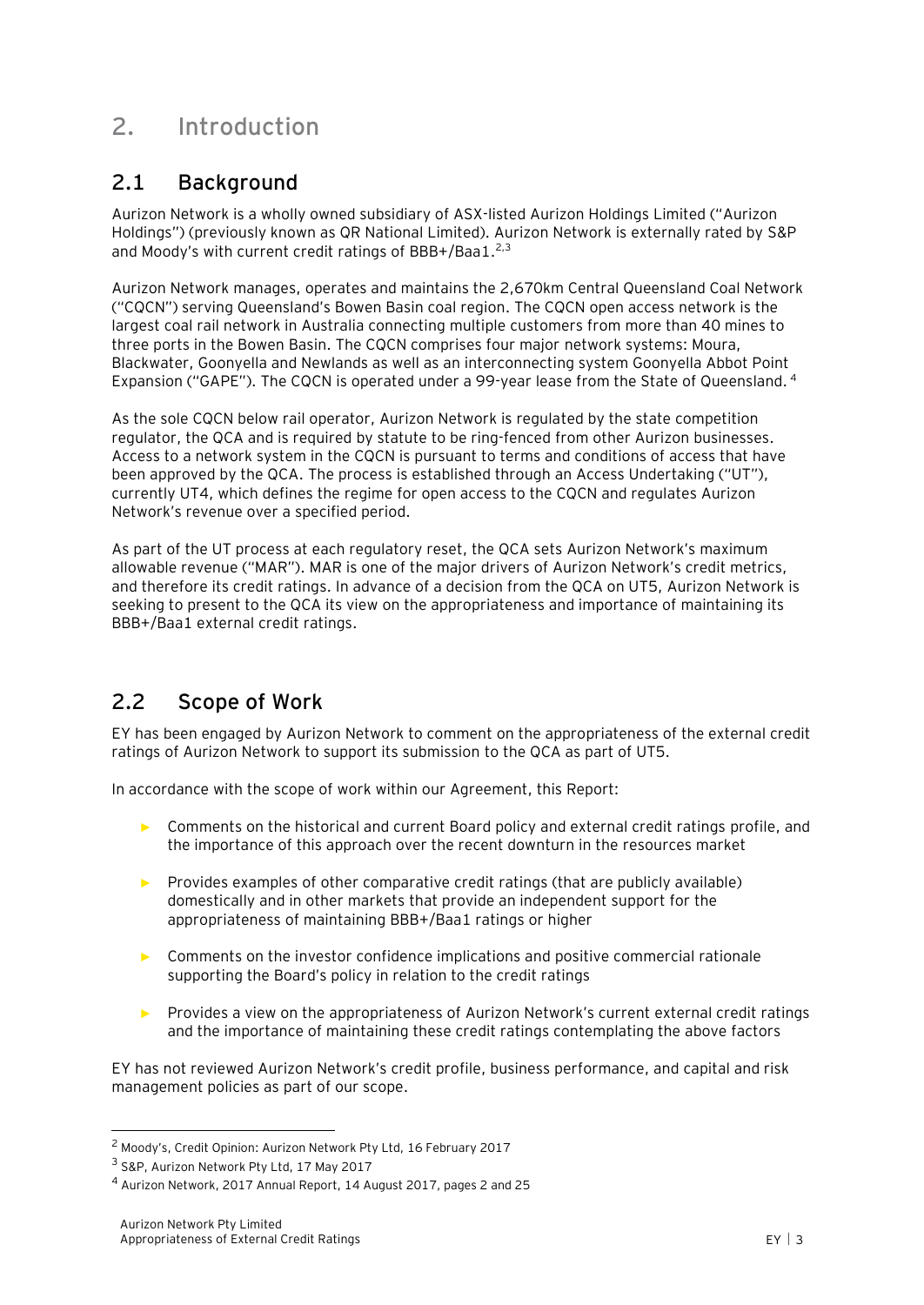# <span id="page-7-0"></span>**2. Introduction**

# <span id="page-7-1"></span>**2.1 Background**

Aurizon Network is a wholly owned subsidiary of ASX-listed Aurizon Holdings Limited ("Aurizon Holdings") (previously known as QR National Limited). Aurizon Network is externally rated by S&P and Moody's with current credit ratings of BBB+/Baa1.<sup>2,3</sup>

Aurizon Network manages, operates and maintains the 2,670km Central Queensland Coal Network ("CQCN") serving Queensland's Bowen Basin coal region. The CQCN open access network is the largest coal rail network in Australia connecting multiple customers from more than 40 mines to three ports in the Bowen Basin. The CQCN comprises four major network systems: Moura, Blackwater, Goonyella and Newlands as well as an interconnecting system Goonyella Abbot Point Expansion ("GAPE"). The CQCN is operated under a 99-year lease from the State of Queensland. <sup>4</sup>

As the sole CQCN below rail operator, Aurizon Network is regulated by the state competition regulator, the QCA and is required by statute to be ring-fenced from other Aurizon businesses. Access to a network system in the CQCN is pursuant to terms and conditions of access that have been approved by the QCA. The process is established through an Access Undertaking ("UT"), currently UT4, which defines the regime for open access to the CQCN and regulates Aurizon Network's revenue over a specified period.

As part of the UT process at each regulatory reset, the QCA sets Aurizon Network's maximum allowable revenue ("MAR"). MAR is one of the major drivers of Aurizon Network's credit metrics, and therefore its credit ratings. In advance of a decision from the QCA on UT5, Aurizon Network is seeking to present to the QCA its view on the appropriateness and importance of maintaining its BBB+/Baa1 external credit ratings.

# <span id="page-7-2"></span>**2.2 Scope of Work**

EY has been engaged by Aurizon Network to comment on the appropriateness of the external credit ratings of Aurizon Network to support its submission to the QCA as part of UT5.

In accordance with the scope of work within our Agreement, this Report:

- ► Comments on the historical and current Board policy and external credit ratings profile, and the importance of this approach over the recent downturn in the resources market
- ► Provides examples of other comparative credit ratings (that are publicly available) domestically and in other markets that provide an independent support for the appropriateness of maintaining BBB+/Baa1 ratings or higher
- Comments on the investor confidence implications and positive commercial rationale supporting the Board's policy in relation to the credit ratings
- ► Provides a view on the appropriateness of Aurizon Network's current external credit ratings and the importance of maintaining these credit ratings contemplating the above factors

EY has not reviewed Aurizon Network's credit profile, business performance, and capital and risk management policies as part of our scope.

<sup>2</sup> Moody's, Credit Opinion: Aurizon Network Pty Ltd, 16 February 2017

<sup>3</sup> S&P, Aurizon Network Pty Ltd, 17 May 2017

<sup>4</sup> Aurizon Network, 2017 Annual Report, 14 August 2017, pages 2 and 25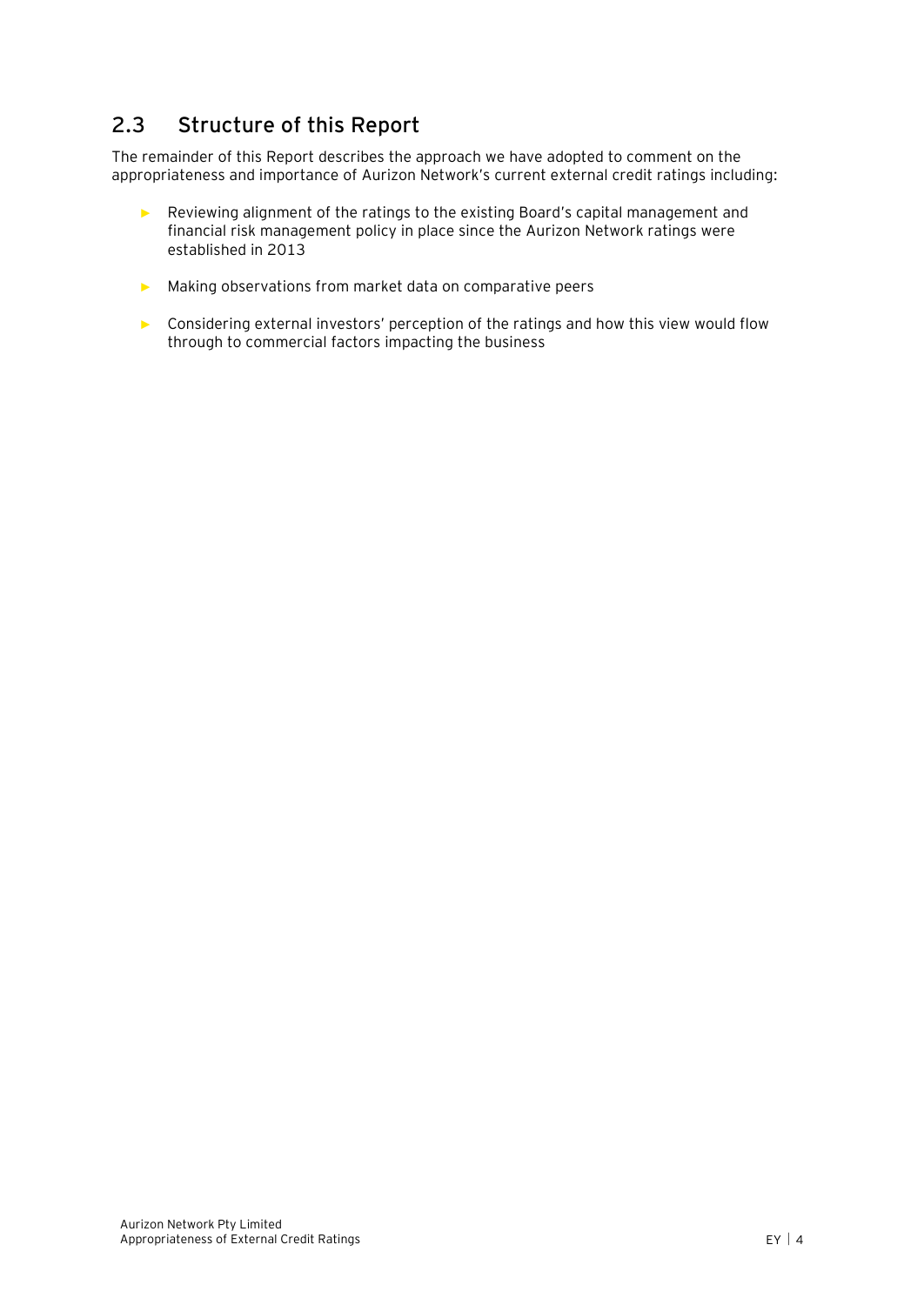# <span id="page-8-0"></span>**2.3 Structure of this Report**

The remainder of this Report describes the approach we have adopted to comment on the appropriateness and importance of Aurizon Network's current external credit ratings including:

- ► Reviewing alignment of the ratings to the existing Board's capital management and financial risk management policy in place since the Aurizon Network ratings were established in 2013
- ► Making observations from market data on comparative peers
- ► Considering external investors' perception of the ratings and how this view would flow through to commercial factors impacting the business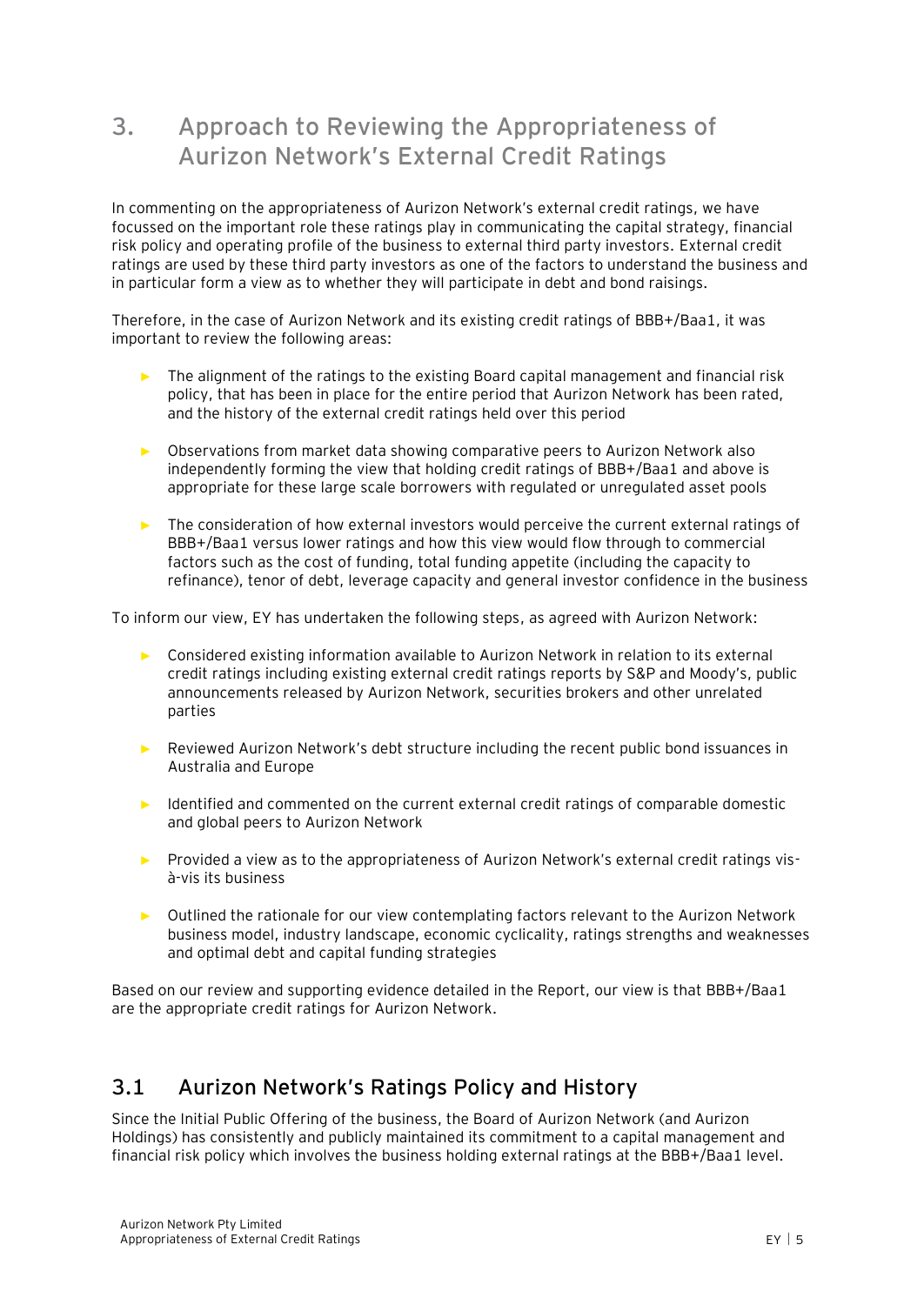# <span id="page-9-0"></span>**3. Approach to Reviewing the Appropriateness of Aurizon Network's External Credit Ratings**

In commenting on the appropriateness of Aurizon Network's external credit ratings, we have focussed on the important role these ratings play in communicating the capital strategy, financial risk policy and operating profile of the business to external third party investors. External credit ratings are used by these third party investors as one of the factors to understand the business and in particular form a view as to whether they will participate in debt and bond raisings.

Therefore, in the case of Aurizon Network and its existing credit ratings of BBB+/Baa1, it was important to review the following areas:

- ► The alignment of the ratings to the existing Board capital management and financial risk policy, that has been in place for the entire period that Aurizon Network has been rated, and the history of the external credit ratings held over this period
- ► Observations from market data showing comparative peers to Aurizon Network also independently forming the view that holding credit ratings of BBB+/Baa1 and above is appropriate for these large scale borrowers with regulated or unregulated asset pools
- ► The consideration of how external investors would perceive the current external ratings of BBB+/Baa1 versus lower ratings and how this view would flow through to commercial factors such as the cost of funding, total funding appetite (including the capacity to refinance), tenor of debt, leverage capacity and general investor confidence in the business

To inform our view, EY has undertaken the following steps, as agreed with Aurizon Network:

- ► Considered existing information available to Aurizon Network in relation to its external credit ratings including existing external credit ratings reports by S&P and Moody's, public announcements released by Aurizon Network, securities brokers and other unrelated parties
- Reviewed Aurizon Network's debt structure including the recent public bond issuances in Australia and Europe
- ► Identified and commented on the current external credit ratings of comparable domestic and global peers to Aurizon Network
- ► Provided a view as to the appropriateness of Aurizon Network's external credit ratings visà-vis its business
- ► Outlined the rationale for our view contemplating factors relevant to the Aurizon Network business model, industry landscape, economic cyclicality, ratings strengths and weaknesses and optimal debt and capital funding strategies

Based on our review and supporting evidence detailed in the Report, our view is that BBB+/Baa1 are the appropriate credit ratings for Aurizon Network.

### <span id="page-9-1"></span>**3.1 Aurizon Network's Ratings Policy and History**

Since the Initial Public Offering of the business, the Board of Aurizon Network (and Aurizon Holdings) has consistently and publicly maintained its commitment to a capital management and financial risk policy which involves the business holding external ratings at the BBB+/Baa1 level.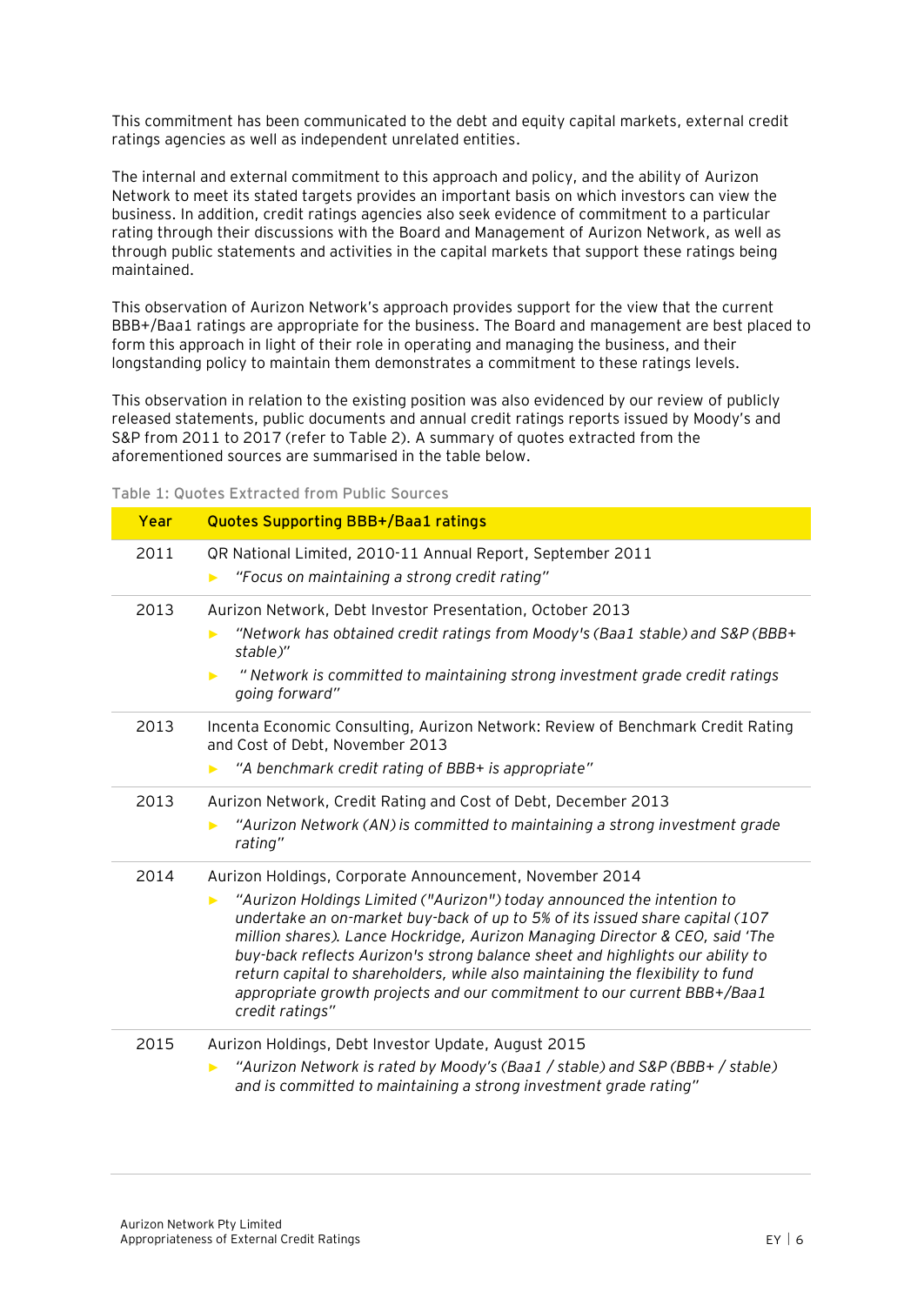This commitment has been communicated to the debt and equity capital markets, external credit ratings agencies as well as independent unrelated entities.

The internal and external commitment to this approach and policy, and the ability of Aurizon Network to meet its stated targets provides an important basis on which investors can view the business. In addition, credit ratings agencies also seek evidence of commitment to a particular rating through their discussions with the Board and Management of Aurizon Network, as well as through public statements and activities in the capital markets that support these ratings being maintained.

This observation of Aurizon Network's approach provides support for the view that the current BBB+/Baa1 ratings are appropriate for the business. The Board and management are best placed to form this approach in light of their role in operating and managing the business, and their longstanding policy to maintain them demonstrates a commitment to these ratings levels.

This observation in relation to the existing position was also evidenced by our review of publicly released statements, public documents and annual credit ratings reports issued by Moody's and S&P from 2011 to 2017 (refer to Table 2). A summary of quotes extracted from the aforementioned sources are summarised in the table below.

|      | Table 1: Quotes Extracted from Public Sources                                                                                                                                                                                                                                                                                                                                                                                                                                                                                                                            |
|------|--------------------------------------------------------------------------------------------------------------------------------------------------------------------------------------------------------------------------------------------------------------------------------------------------------------------------------------------------------------------------------------------------------------------------------------------------------------------------------------------------------------------------------------------------------------------------|
| Year | <b>Quotes Supporting BBB+/Baa1 ratings</b>                                                                                                                                                                                                                                                                                                                                                                                                                                                                                                                               |
| 2011 | QR National Limited, 2010-11 Annual Report, September 2011<br>"Focus on maintaining a strong credit rating"<br>▶                                                                                                                                                                                                                                                                                                                                                                                                                                                         |
| 2013 | Aurizon Network, Debt Investor Presentation, October 2013<br>"Network has obtained credit ratings from Moody's (Baa1 stable) and S&P (BBB+<br>ь<br>stable)"<br>" Network is committed to maintaining strong investment grade credit ratings<br>$\blacktriangleright$<br>going forward"                                                                                                                                                                                                                                                                                   |
| 2013 | Incenta Economic Consulting, Aurizon Network: Review of Benchmark Credit Rating<br>and Cost of Debt, November 2013<br>"A benchmark credit rating of BBB+ is appropriate"<br>ь                                                                                                                                                                                                                                                                                                                                                                                            |
| 2013 | Aurizon Network, Credit Rating and Cost of Debt, December 2013<br>"Aurizon Network (AN) is committed to maintaining a strong investment grade<br>rating"                                                                                                                                                                                                                                                                                                                                                                                                                 |
| 2014 | Aurizon Holdings, Corporate Announcement, November 2014<br>"Aurizon Holdings Limited ("Aurizon") today announced the intention to<br>▶<br>undertake an on-market buy-back of up to 5% of its issued share capital (107<br>million shares). Lance Hockridge, Aurizon Managing Director & CEO, said 'The<br>buy-back reflects Aurizon's strong balance sheet and highlights our ability to<br>return capital to shareholders, while also maintaining the flexibility to fund<br>appropriate growth projects and our commitment to our current BBB+/Baa1<br>credit ratings" |
| 2015 | Aurizon Holdings, Debt Investor Update, August 2015<br>"Aurizon Network is rated by Moody's (Baa1 / stable) and S&P (BBB+ / stable)<br>▶<br>and is committed to maintaining a strong investment grade rating"                                                                                                                                                                                                                                                                                                                                                            |

**Table 1: Quotes Extracted from Public Sources**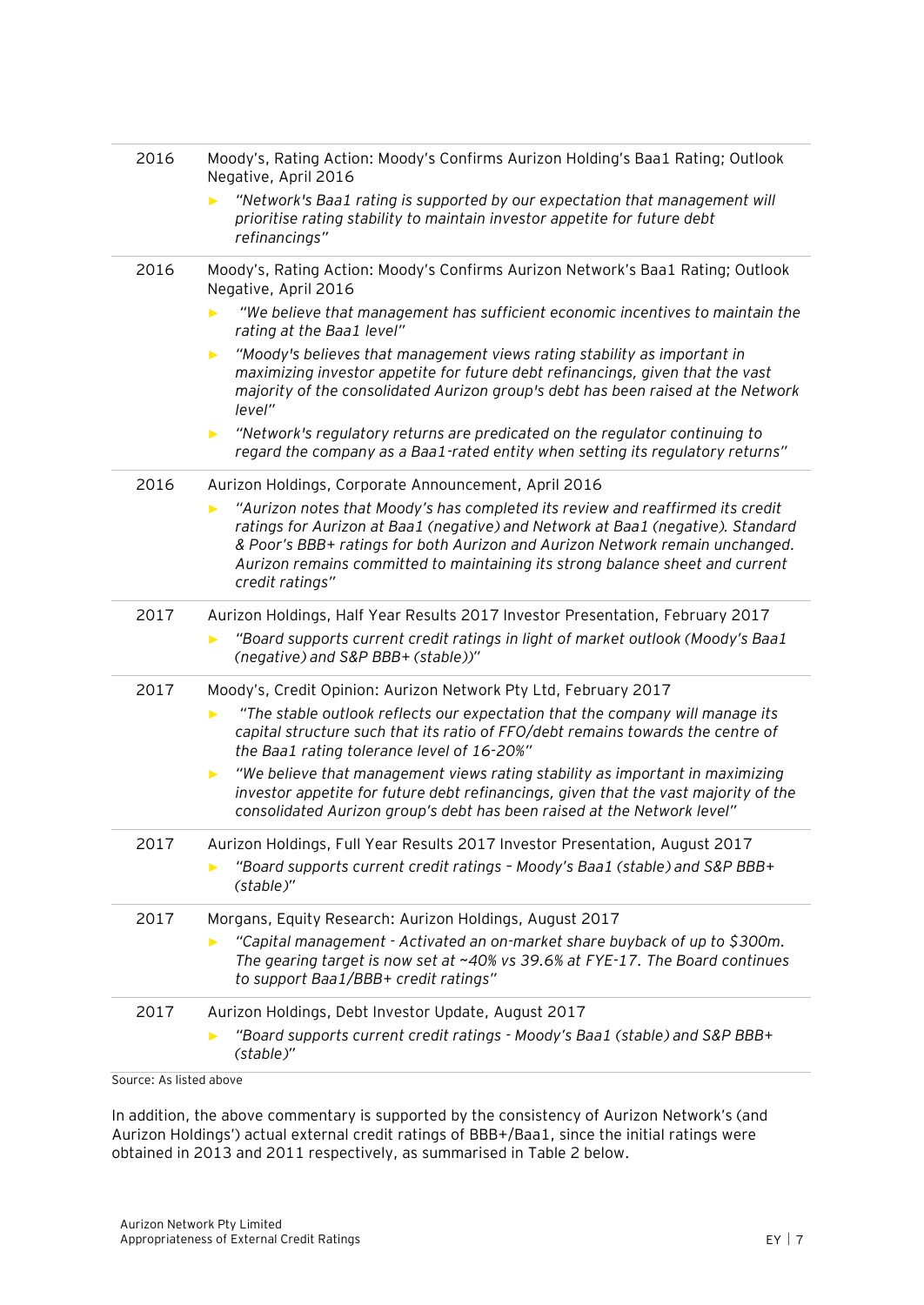| 2016                    | Moody's, Rating Action: Moody's Confirms Aurizon Holding's Baa1 Rating; Outlook<br>Negative, April 2016                                                                                                                                                                                                                                               |  |  |  |  |  |  |  |
|-------------------------|-------------------------------------------------------------------------------------------------------------------------------------------------------------------------------------------------------------------------------------------------------------------------------------------------------------------------------------------------------|--|--|--|--|--|--|--|
|                         | "Network's Baa1 rating is supported by our expectation that management will<br>prioritise rating stability to maintain investor appetite for future debt<br>refinancings"                                                                                                                                                                             |  |  |  |  |  |  |  |
| 2016                    | Moody's, Rating Action: Moody's Confirms Aurizon Network's Baa1 Rating; Outlook<br>Negative, April 2016                                                                                                                                                                                                                                               |  |  |  |  |  |  |  |
|                         | "We believe that management has sufficient economic incentives to maintain the<br>rating at the Baa1 level"                                                                                                                                                                                                                                           |  |  |  |  |  |  |  |
|                         | "Moody's believes that management views rating stability as important in<br>▶<br>maximizing investor appetite for future debt refinancings, given that the vast<br>majority of the consolidated Aurizon group's debt has been raised at the Network<br>level"                                                                                         |  |  |  |  |  |  |  |
|                         | "Network's regulatory returns are predicated on the regulator continuing to<br>▶<br>regard the company as a Baa1-rated entity when setting its regulatory returns"                                                                                                                                                                                    |  |  |  |  |  |  |  |
| 2016                    | Aurizon Holdings, Corporate Announcement, April 2016                                                                                                                                                                                                                                                                                                  |  |  |  |  |  |  |  |
|                         | "Aurizon notes that Moody's has completed its review and reaffirmed its credit<br>ratings for Aurizon at Baa1 (negative) and Network at Baa1 (negative). Standard<br>& Poor's BBB+ ratings for both Aurizon and Aurizon Network remain unchanged.<br>Aurizon remains committed to maintaining its strong balance sheet and current<br>credit ratings" |  |  |  |  |  |  |  |
| 2017                    | Aurizon Holdings, Half Year Results 2017 Investor Presentation, February 2017                                                                                                                                                                                                                                                                         |  |  |  |  |  |  |  |
|                         | "Board supports current credit ratings in light of market outlook (Moody's Baa1<br>(negative) and S&P BBB+ (stable))"                                                                                                                                                                                                                                 |  |  |  |  |  |  |  |
| 2017                    | Moody's, Credit Opinion: Aurizon Network Pty Ltd, February 2017                                                                                                                                                                                                                                                                                       |  |  |  |  |  |  |  |
|                         | "The stable outlook reflects our expectation that the company will manage its<br>▶<br>capital structure such that its ratio of FFO/debt remains towards the centre of<br>the Baa1 rating tolerance level of 16-20%"                                                                                                                                   |  |  |  |  |  |  |  |
|                         | "We believe that management views rating stability as important in maximizing<br>▶<br>investor appetite for future debt refinancings, given that the vast majority of the<br>consolidated Aurizon group's debt has been raised at the Network level"                                                                                                  |  |  |  |  |  |  |  |
| 2017                    | Aurizon Holdings, Full Year Results 2017 Investor Presentation, August 2017                                                                                                                                                                                                                                                                           |  |  |  |  |  |  |  |
|                         | "Board supports current credit ratings - Moody's Baa1 (stable) and S&P BBB+<br>(stable)"                                                                                                                                                                                                                                                              |  |  |  |  |  |  |  |
| 2017                    | Morgans, Equity Research: Aurizon Holdings, August 2017                                                                                                                                                                                                                                                                                               |  |  |  |  |  |  |  |
|                         | "Capital management - Activated an on-market share buyback of up to \$300m.<br>▶<br>The gearing target is now set at $~40\%$ vs 39.6% at FYE-17. The Board continues<br>to support Baa1/BBB+ credit ratings"                                                                                                                                          |  |  |  |  |  |  |  |
| 2017                    | Aurizon Holdings, Debt Investor Update, August 2017                                                                                                                                                                                                                                                                                                   |  |  |  |  |  |  |  |
|                         | "Board supports current credit ratings - Moody's Baa1 (stable) and S&P BBB+<br>(stable)"                                                                                                                                                                                                                                                              |  |  |  |  |  |  |  |
| Source: As listed above |                                                                                                                                                                                                                                                                                                                                                       |  |  |  |  |  |  |  |

In addition, the above commentary is supported by the consistency of Aurizon Network's (and Aurizon Holdings') actual external credit ratings of BBB+/Baa1, since the initial ratings were obtained in 2013 and 2011 respectively, as summarised in [Table 2](#page-12-1) below.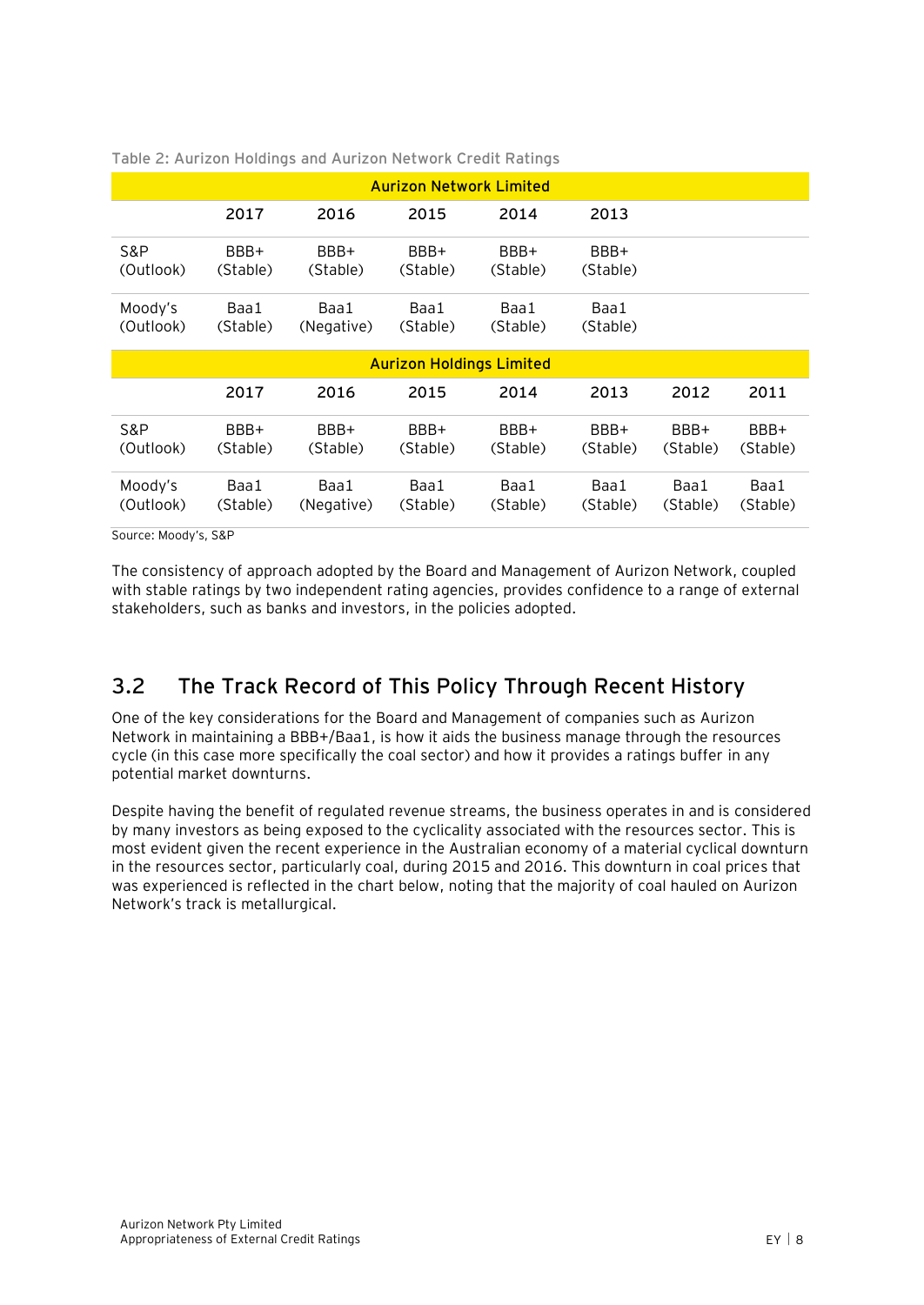| <b>Aurizon Network Limited</b>                       |                  |                    |                  |                  |                  |                  |                  |  |  |  |
|------------------------------------------------------|------------------|--------------------|------------------|------------------|------------------|------------------|------------------|--|--|--|
|                                                      | 2017             | 2016               | 2015             | 2014             | 2013             |                  |                  |  |  |  |
| S&P<br>(Outlook)                                     | BBB+<br>(Stable) | BBB+<br>(Stable)   | BBB+<br>(Stable) | BBB+<br>(Stable) | BBB+<br>(Stable) |                  |                  |  |  |  |
| Moody's<br>(Outlook)                                 | Baa1<br>(Stable) | Baa1<br>(Negative) | Baa1<br>(Stable) | Baa1<br>(Stable) | Baa1<br>(Stable) |                  |                  |  |  |  |
| <b>Aurizon Holdings Limited</b>                      |                  |                    |                  |                  |                  |                  |                  |  |  |  |
| 2017<br>2016<br>2015<br>2014<br>2012<br>2011<br>2013 |                  |                    |                  |                  |                  |                  |                  |  |  |  |
| S&P<br>(Outlook)                                     | BBB+<br>(Stable) | BBB+<br>(Stable)   | BBB+<br>(Stable) | BBB+<br>(Stable) | BBB+<br>(Stable) | BBB+<br>(Stable) | BBB+<br>(Stable) |  |  |  |
| Moody's<br>(Outlook)                                 | Baa1<br>(Stable) | Baa1<br>(Negative) | Baa1<br>(Stable) | Baa1<br>(Stable) | Baa1<br>(Stable) | Baa1<br>(Stable) | Baa1<br>(Stable) |  |  |  |

<span id="page-12-1"></span>**Table 2: Aurizon Holdings and Aurizon Network Credit Ratings**

Source: Moody's, S&P

The consistency of approach adopted by the Board and Management of Aurizon Network, coupled with stable ratings by two independent rating agencies, provides confidence to a range of external stakeholders, such as banks and investors, in the policies adopted.

# <span id="page-12-0"></span>**3.2 The Track Record of This Policy Through Recent History**

One of the key considerations for the Board and Management of companies such as Aurizon Network in maintaining a BBB+/Baa1, is how it aids the business manage through the resources cycle (in this case more specifically the coal sector) and how it provides a ratings buffer in any potential market downturns.

Despite having the benefit of regulated revenue streams, the business operates in and is considered by many investors as being exposed to the cyclicality associated with the resources sector. This is most evident given the recent experience in the Australian economy of a material cyclical downturn in the resources sector, particularly coal, during 2015 and 2016. This downturn in coal prices that was experienced is reflected in the chart below, noting that the majority of coal hauled on Aurizon Network's track is metallurgical.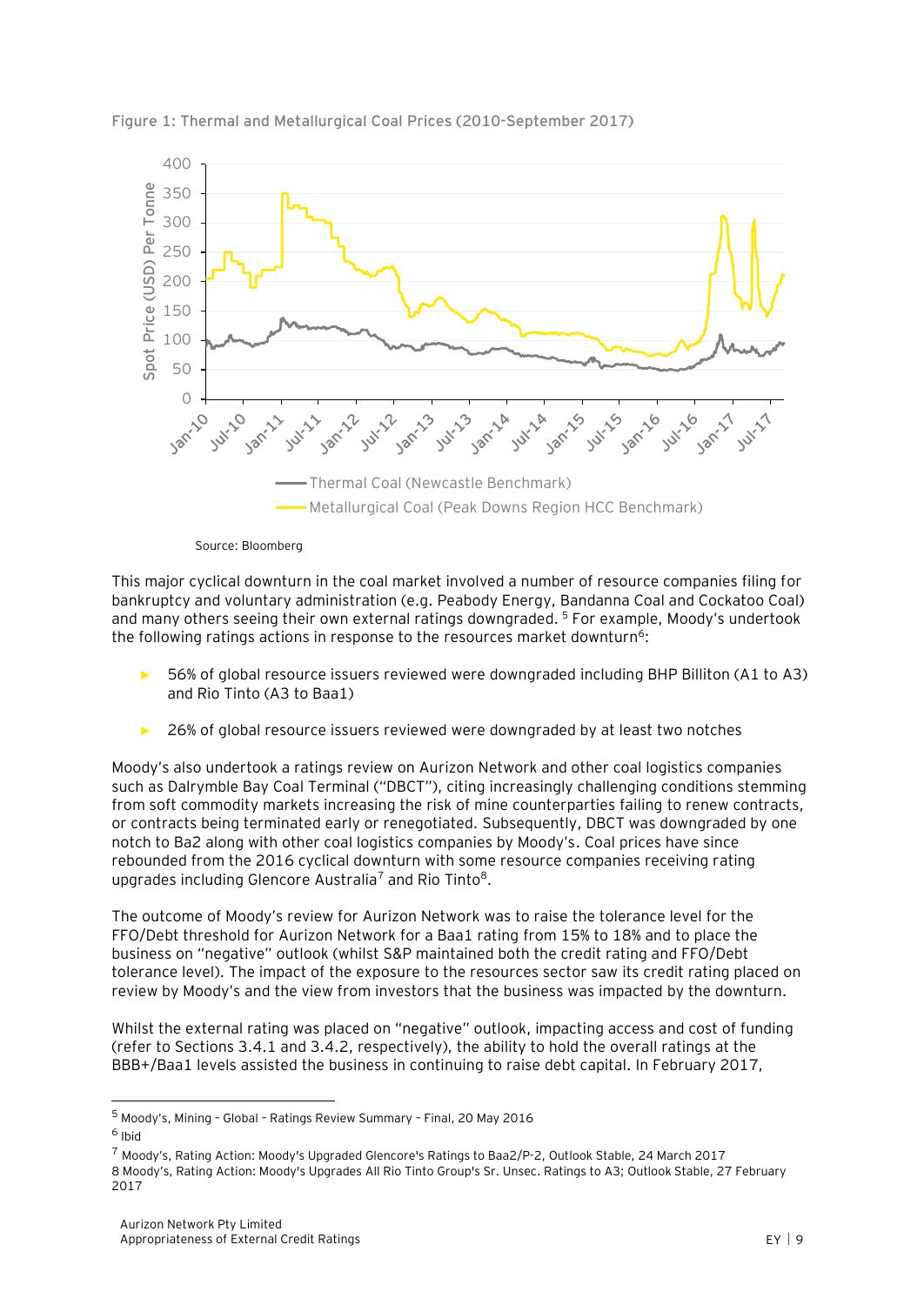

**Figure 1: Thermal and Metallurgical Coal Prices (2010-September 2017)**

Source: Bloomberg

This major cyclical downturn in the coal market involved a number of resource companies filing for bankruptcy and voluntary administration (e.g. Peabody Energy, Bandanna Coal and Cockatoo Coal) and many others seeing their own external ratings downgraded. <sup>5</sup> For example, Moody's undertook the following ratings actions in response to the resources market downturn<sup>6</sup>:

- ► 56% of global resource issuers reviewed were downgraded including BHP Billiton (A1 to A3) and Rio Tinto (A3 to Baa1)
- 26% of global resource issuers reviewed were downgraded by at least two notches

Moody's also undertook a ratings review on Aurizon Network and other coal logistics companies such as Dalrymble Bay Coal Terminal ("DBCT"), citing increasingly challenging conditions stemming from soft commodity markets increasing the risk of mine counterparties failing to renew contracts, or contracts being terminated early or renegotiated. Subsequently, DBCT was downgraded by one notch to Ba2 along with other coal logistics companies by Moody's. Coal prices have since rebounded from the 2016 cyclical downturn with some resource companies receiving rating upgrades including Glencore Australia<sup>7</sup> and Rio Tinto<sup>8</sup>.

The outcome of Moody's review for Aurizon Network was to raise the tolerance level for the FFO/Debt threshold for Aurizon Network for a Baa1 rating from 15% to 18% and to place the business on "negative" outlook (whilst S&P maintained both the credit rating and FFO/Debt tolerance level). The impact of the exposure to the resources sector saw its credit rating placed on review by Moody's and the view from investors that the business was impacted by the downturn.

Whilst the external rating was placed on "negative" outlook, impacting access and cost of funding (refer to Sections 3.4.1 and 3.4.2, respectively), the ability to hold the overall ratings at the BBB+/Baa1 levels assisted the business in continuing to raise debt capital. In February 2017,

<sup>5</sup> Moody's, Mining – Global – Ratings Review Summary – Final, 20 May 2016

<sup>6</sup> Ibid

<sup>7</sup> Moody's, Rating Action: Moody's Upgraded Glencore's Ratings to Baa2/P-2, Outlook Stable, 24 March 2017 8 Moody's, Rating Action: Moody's Upgrades All Rio Tinto Group's Sr. Unsec. Ratings to A3; Outlook Stable, 27 February 2017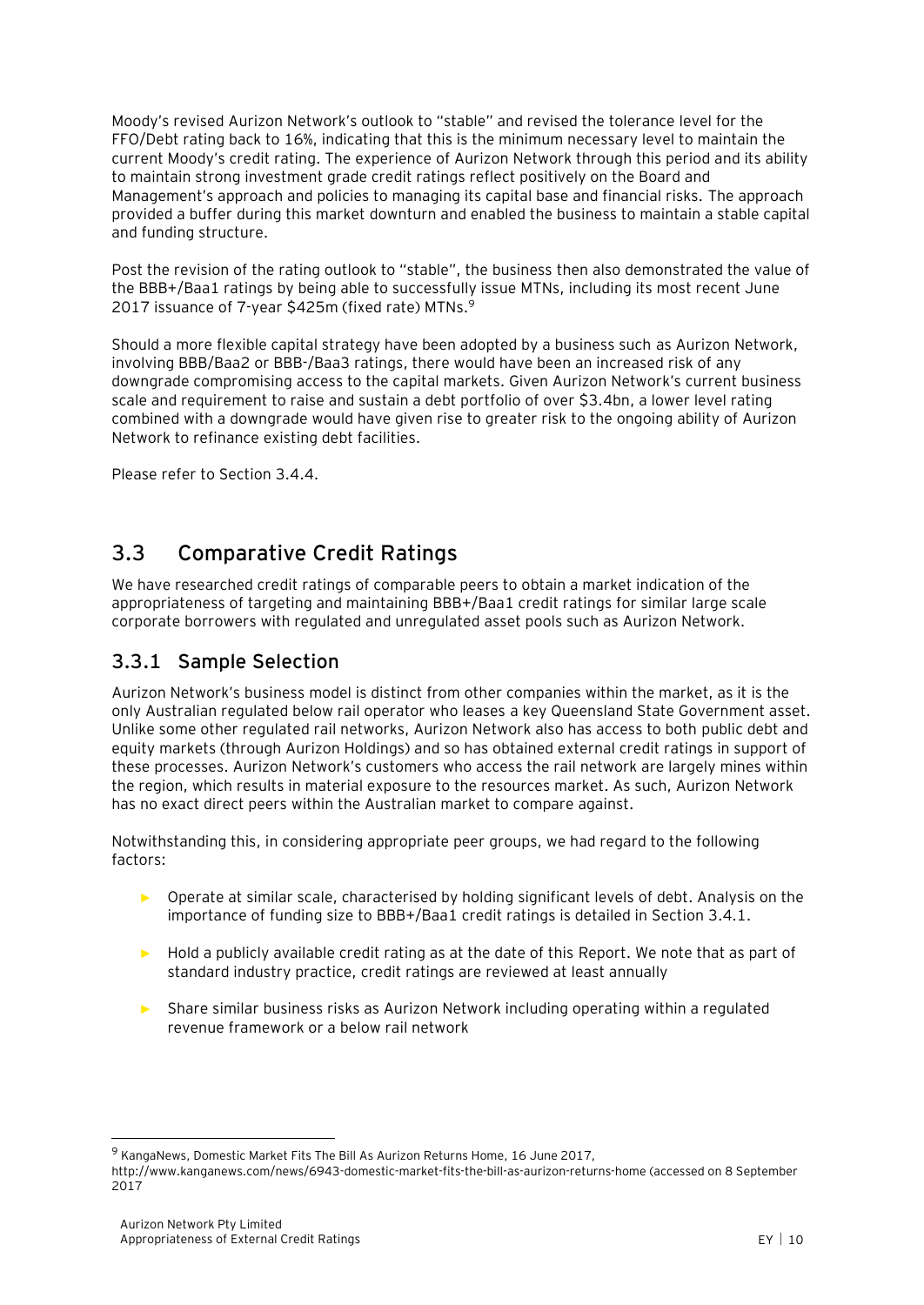Moody's revised Aurizon Network's outlook to "stable" and revised the tolerance level for the FFO/Debt rating back to 16%, indicating that this is the minimum necessary level to maintain the current Moody's credit rating. The experience of Aurizon Network through this period and its ability to maintain strong investment grade credit ratings reflect positively on the Board and Management's approach and policies to managing its capital base and financial risks. The approach provided a buffer during this market downturn and enabled the business to maintain a stable capital and funding structure.

Post the revision of the rating outlook to "stable", the business then also demonstrated the value of the BBB+/Baa1 ratings by being able to successfully issue MTNs, including its most recent June 2017 issuance of 7-year \$425m (fixed rate) MTNs.<sup>9</sup>

Should a more flexible capital strategy have been adopted by a business such as Aurizon Network, involving BBB/Baa2 or BBB-/Baa3 ratings, there would have been an increased risk of any downgrade compromising access to the capital markets. Given Aurizon Network's current business scale and requirement to raise and sustain a debt portfolio of over \$3.4bn, a lower level rating combined with a downgrade would have given rise to greater risk to the ongoing ability of Aurizon Network to refinance existing debt facilities.

Please refer to Section 3.4.4.

# <span id="page-14-0"></span>**3.3 Comparative Credit Ratings**

We have researched credit ratings of comparable peers to obtain a market indication of the appropriateness of targeting and maintaining BBB+/Baa1 credit ratings for similar large scale corporate borrowers with regulated and unregulated asset pools such as Aurizon Network.

### **3.3.1 Sample Selection**

Aurizon Network's business model is distinct from other companies within the market, as it is the only Australian regulated below rail operator who leases a key Queensland State Government asset. Unlike some other regulated rail networks, Aurizon Network also has access to both public debt and equity markets (through Aurizon Holdings) and so has obtained external credit ratings in support of these processes. Aurizon Network's customers who access the rail network are largely mines within the region, which results in material exposure to the resources market. As such, Aurizon Network has no exact direct peers within the Australian market to compare against.

Notwithstanding this, in considering appropriate peer groups, we had regard to the following factors:

- ► Operate at similar scale, characterised by holding significant levels of debt. Analysis on the importance of funding size to BBB+/Baa1 credit ratings is detailed in Section 3.4.1.
- ► Hold a publicly available credit rating as at the date of this Report. We note that as part of standard industry practice, credit ratings are reviewed at least annually
- Share similar business risks as Aurizon Network including operating within a regulated revenue framework or a below rail network

<sup>&</sup>lt;sup>9</sup> KangaNews, Domestic Market Fits The Bill As Aurizon Returns Home, 16 June 2017,

http://www.kanganews.com/news/6943-domestic-market-fits-the-bill-as-aurizon-returns-home (accessed on 8 September 2017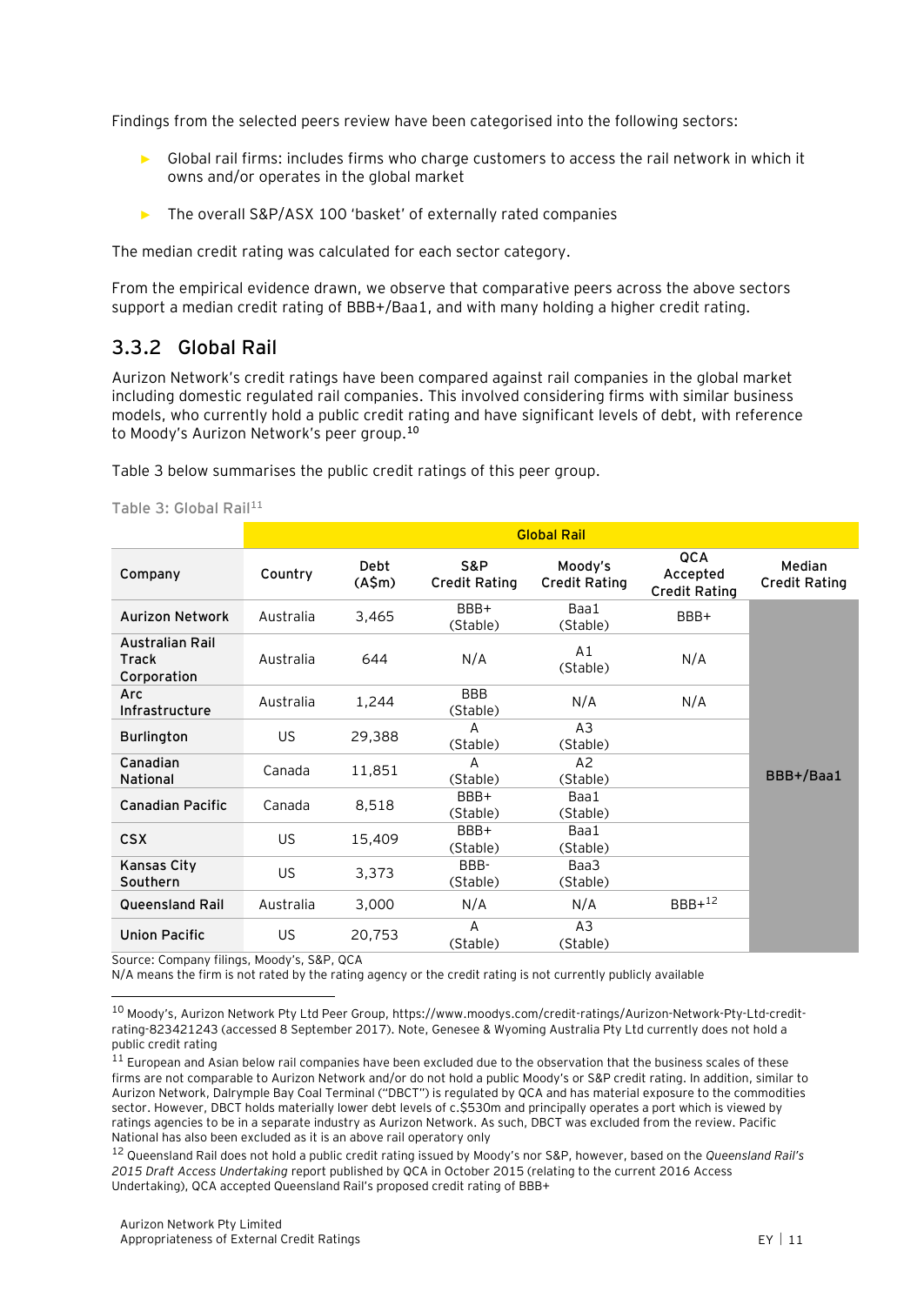Findings from the selected peers review have been categorised into the following sectors:

- ► Global rail firms: includes firms who charge customers to access the rail network in which it owns and/or operates in the global market
- The overall S&P/ASX 100 'basket' of externally rated companies

The median credit rating was calculated for each sector category.

From the empirical evidence drawn, we observe that comparative peers across the above sectors support a median credit rating of BBB+/Baa1, and with many holding a higher credit rating.

### **3.3.2 Global Rail**

Aurizon Network's credit ratings have been compared against rail companies in the global market including domestic regulated rail companies. This involved considering firms with similar business models, who currently hold a public credit rating and have significant levels of debt, with reference to Moody's Aurizon Network's peer group. **10**

[Table 3](#page-15-0) below summarises the public credit ratings of this peer group.

<span id="page-15-0"></span>**Table 3: Global Rail<sup>11</sup>**

|                                         | <b>Global Rail</b> |                       |                             |                                 |                                         |                                |  |
|-----------------------------------------|--------------------|-----------------------|-----------------------------|---------------------------------|-----------------------------------------|--------------------------------|--|
| Company                                 | Country            | <b>Debt</b><br>(A\$m) | S&P<br><b>Credit Rating</b> | Moody's<br><b>Credit Rating</b> | QCA<br>Accepted<br><b>Credit Rating</b> | Median<br><b>Credit Rating</b> |  |
| <b>Aurizon Network</b>                  | Australia          | 3,465                 | BBB+<br>(Stable)            | Baa1<br>(Stable)                | BBB+                                    |                                |  |
| Australian Rail<br>Track<br>Corporation | Australia          | 644                   | N/A                         | A1<br>(Stable)                  | N/A                                     |                                |  |
| Arc<br>Infrastructure                   | Australia          | 1,244                 | <b>BBB</b><br>(Stable)      | N/A                             | N/A                                     |                                |  |
| <b>Burlington</b>                       | <b>US</b>          | 29,388                | A<br>(Stable)               | A <sub>3</sub><br>(Stable)      |                                         |                                |  |
| Canadian<br>National                    | Canada             | 11,851                | A<br>(Stable)               | A2<br>(Stable)                  |                                         | BBB+/Baa1                      |  |
| <b>Canadian Pacific</b>                 | Canada             | 8,518                 | BBB+<br>(Stable)            | Baa1<br>(Stable)                |                                         |                                |  |
| <b>CSX</b>                              | US                 | 15,409                | BBB+<br>(Stable)            | Baa1<br>(Stable)                |                                         |                                |  |
| Kansas City<br>Southern                 | US                 | 3,373                 | BBB-<br>(Stable)            | Baa3<br>(Stable)                |                                         |                                |  |
| <b>Queensland Rail</b>                  | Australia          | 3,000                 | N/A                         | N/A                             | $BBB+12$                                |                                |  |
| <b>Union Pacific</b>                    | US                 | 20,753                | A<br>(Stable)               | A3<br>(Stable)                  |                                         |                                |  |

Source: Company filings, Moody's, S&P, QCA

 $\overline{a}$ 

N/A means the firm is not rated by the rating agency or the credit rating is not currently publicly available

<sup>12</sup> Queensland Rail does not hold a public credit rating issued by Moody's nor S&P, however, based on the *Queensland Rail's 2015 Draft Access Undertaking* report published by QCA in October 2015 (relating to the current 2016 Access Undertaking), QCA accepted Queensland Rail's proposed credit rating of BBB+

<sup>10</sup> Moody's, Aurizon Network Pty Ltd Peer Group, [https://www.moodys.com/credit-ratings/Aurizon-Network-Pty-Ltd-credit](https://www.moodys.com/credit-ratings/Aurizon-Network-Pty-Ltd-credit-rating-823421243)[rating-823421243](https://www.moodys.com/credit-ratings/Aurizon-Network-Pty-Ltd-credit-rating-823421243) (accessed 8 September 2017). Note, Genesee & Wyoming Australia Pty Ltd currently does not hold a public credit rating

 $11$  European and Asian below rail companies have been excluded due to the observation that the business scales of these firms are not comparable to Aurizon Network and/or do not hold a public Moody's or S&P credit rating. In addition, similar to Aurizon Network, Dalrymple Bay Coal Terminal ("DBCT") is regulated by QCA and has material exposure to the commodities sector. However, DBCT holds materially lower debt levels of c.\$530m and principally operates a port which is viewed by ratings agencies to be in a separate industry as Aurizon Network. As such, DBCT was excluded from the review. Pacific National has also been excluded as it is an above rail operatory only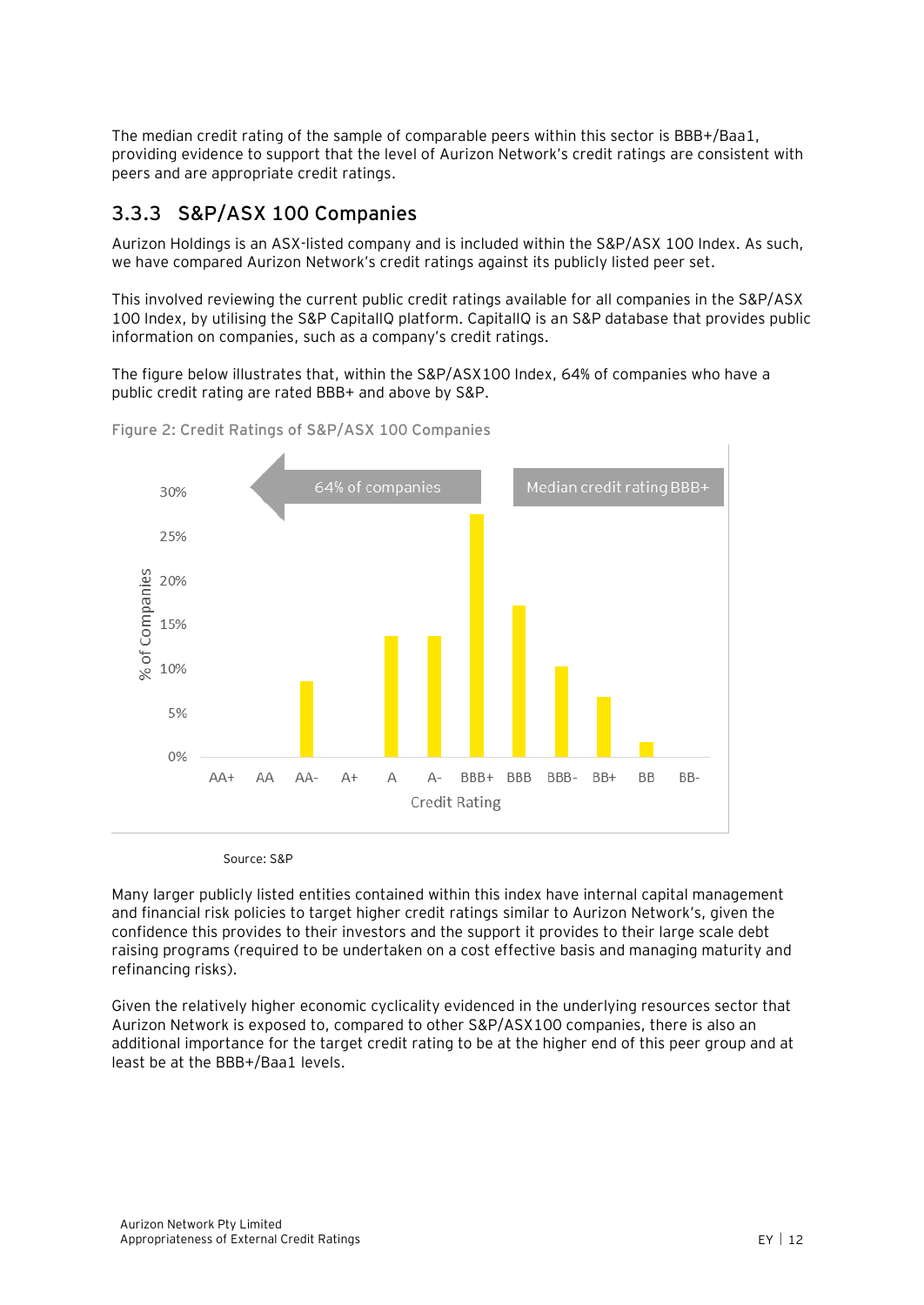The median credit rating of the sample of comparable peers within this sector is BBB+/Baa1, providing evidence to support that the level of Aurizon Network's credit ratings are consistent with peers and are appropriate credit ratings.

### **3.3.3 S&P/ASX 100 Companies**

Aurizon Holdings is an ASX-listed company and is included within the S&P/ASX 100 Index. As such, we have compared Aurizon Network's credit ratings against its publicly listed peer set.

This involved reviewing the current public credit ratings available for all companies in the S&P/ASX 100 Index, by utilising the S&P CapitalIQ platform. CapitalIQ is an S&P database that provides public information on companies, such as a company's credit ratings.

The figure below illustrates that, within the S&P/ASX100 Index, 64% of companies who have a public credit rating are rated BBB+ and above by S&P.



**Figure 2: Credit Ratings of S&P/ASX 100 Companies**

Source: S&P

Many larger publicly listed entities contained within this index have internal capital management and financial risk policies to target higher credit ratings similar to Aurizon Network's, given the confidence this provides to their investors and the support it provides to their large scale debt raising programs (required to be undertaken on a cost effective basis and managing maturity and refinancing risks).

Given the relatively higher economic cyclicality evidenced in the underlying resources sector that Aurizon Network is exposed to, compared to other S&P/ASX100 companies, there is also an additional importance for the target credit rating to be at the higher end of this peer group and at least be at the BBB+/Baa1 levels.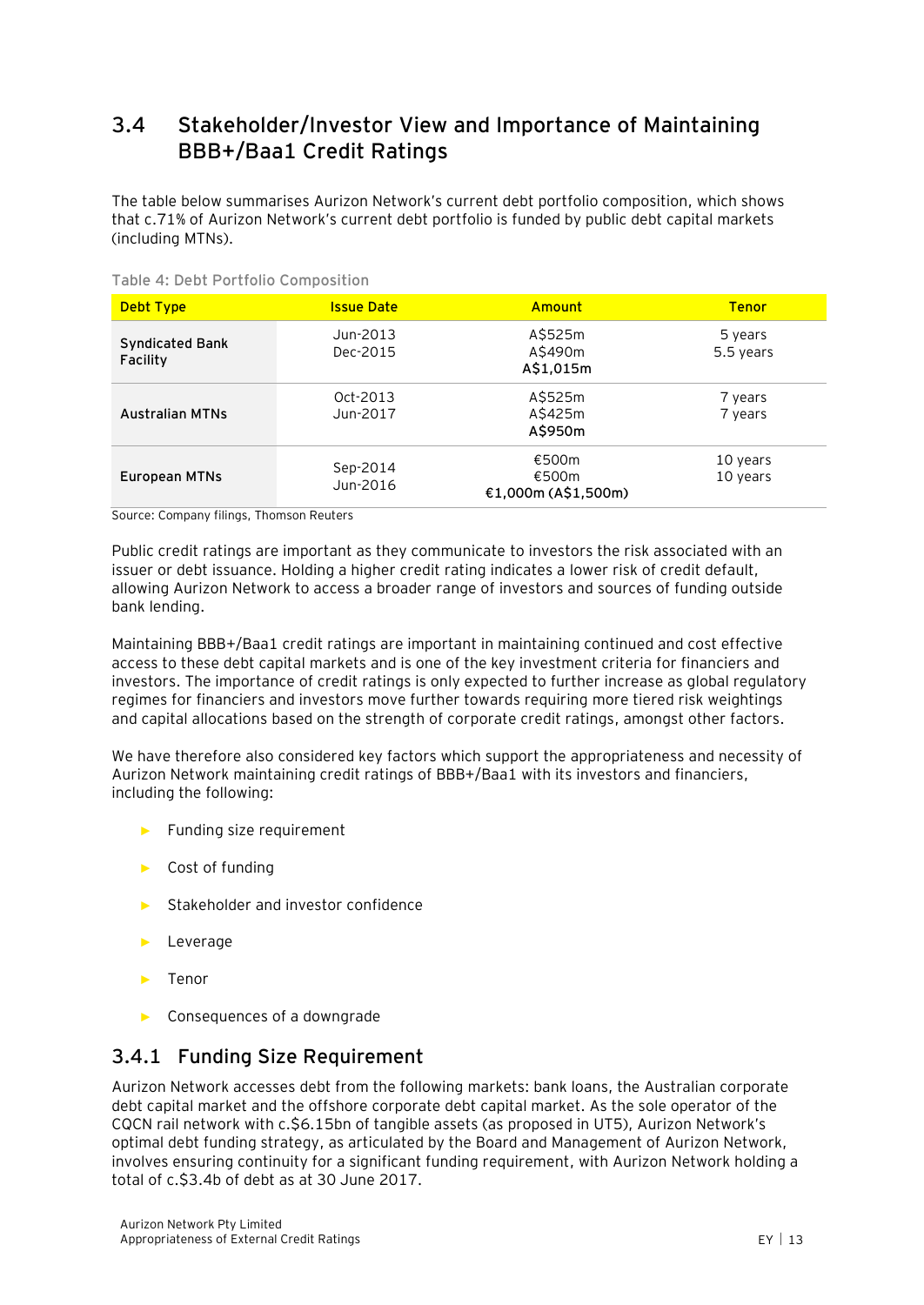# <span id="page-17-0"></span>**3.4 Stakeholder/Investor View and Importance of Maintaining BBB+/Baa1 Credit Ratings**

The table below summarises Aurizon Network's current debt portfolio composition, which shows that c.71% of Aurizon Network's current debt portfolio is funded by public debt capital markets (including MTNs).

| <b>Debt Type</b>                   | <b>Issue Date</b>    | Amount                                | <b>Tenor</b>         |
|------------------------------------|----------------------|---------------------------------------|----------------------|
| <b>Syndicated Bank</b><br>Facility | Jun-2013<br>Dec-2015 | A\$525m<br>A\$490m<br>A\$1,015m       | 5 years<br>5.5 years |
| <b>Australian MTNs</b>             | Oct-2013<br>Jun-2017 | A\$525m<br>A\$425m<br>A\$950m         | 7 years<br>7 years   |
| European MTNs                      | Sep-2014<br>Jun-2016 | €500m<br>€500m<br>€1,000m (A\$1,500m) | 10 years<br>10 years |

**Table 4: Debt Portfolio Composition**

Source: Company filings, Thomson Reuters

Public credit ratings are important as they communicate to investors the risk associated with an issuer or debt issuance. Holding a higher credit rating indicates a lower risk of credit default, allowing Aurizon Network to access a broader range of investors and sources of funding outside bank lending.

Maintaining BBB+/Baa1 credit ratings are important in maintaining continued and cost effective access to these debt capital markets and is one of the key investment criteria for financiers and investors. The importance of credit ratings is only expected to further increase as global regulatory regimes for financiers and investors move further towards requiring more tiered risk weightings and capital allocations based on the strength of corporate credit ratings, amongst other factors.

We have therefore also considered key factors which support the appropriateness and necessity of Aurizon Network maintaining credit ratings of BBB+/Baa1 with its investors and financiers, including the following:

- Funding size requirement
- ► Cost of funding
- ► Stakeholder and investor confidence
- ► Leverage
- ► Tenor
- ► Consequences of a downgrade

#### **3.4.1 Funding Size Requirement**

Aurizon Network accesses debt from the following markets: bank loans, the Australian corporate debt capital market and the offshore corporate debt capital market. As the sole operator of the CQCN rail network with c.\$6.15bn of tangible assets (as proposed in UT5), Aurizon Network's optimal debt funding strategy, as articulated by the Board and Management of Aurizon Network, involves ensuring continuity for a significant funding requirement, with Aurizon Network holding a total of c.\$3.4b of debt as at 30 June 2017.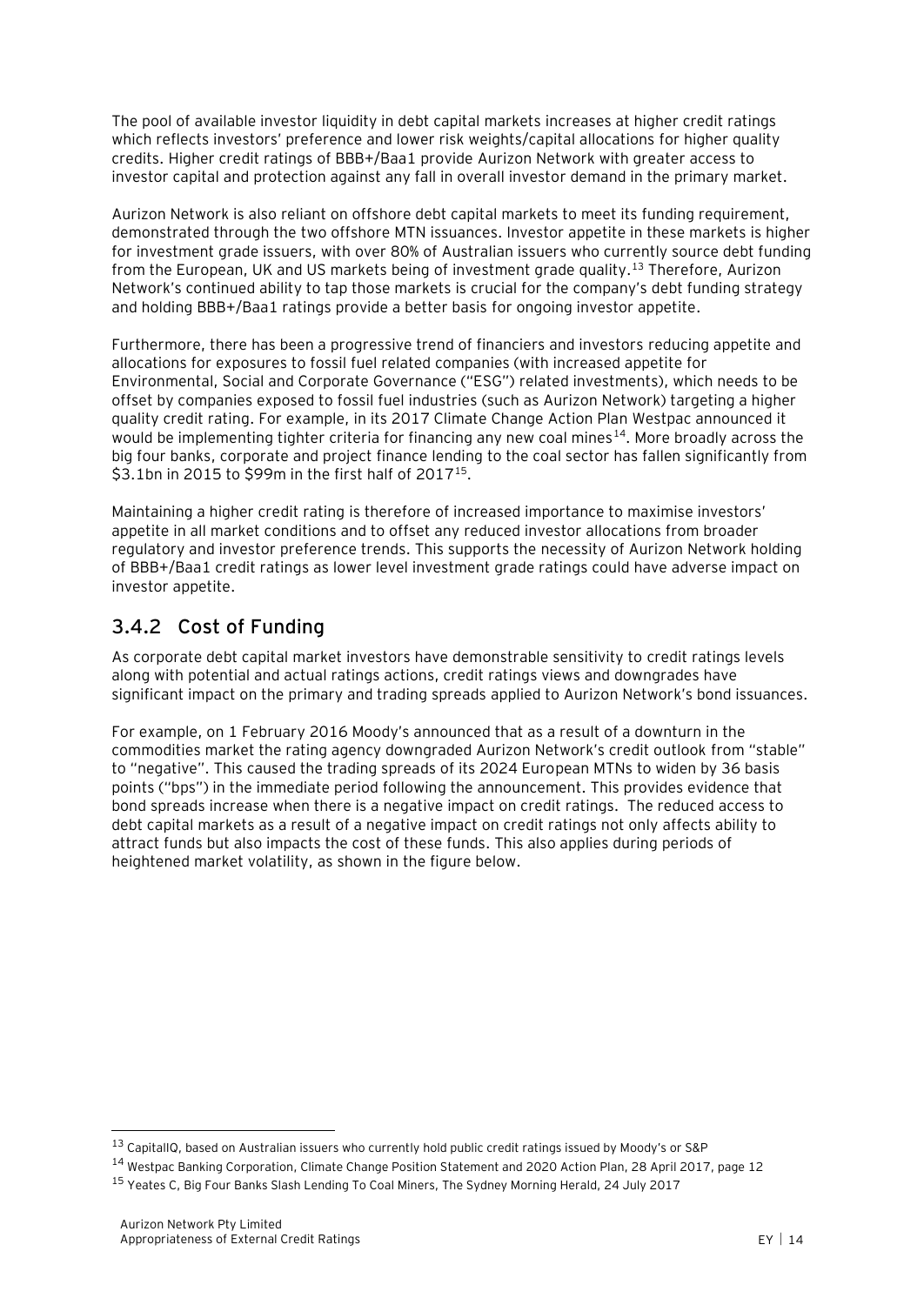The pool of available investor liquidity in debt capital markets increases at higher credit ratings which reflects investors' preference and lower risk weights/capital allocations for higher quality credits. Higher credit ratings of BBB+/Baa1 provide Aurizon Network with greater access to investor capital and protection against any fall in overall investor demand in the primary market.

Aurizon Network is also reliant on offshore debt capital markets to meet its funding requirement, demonstrated through the two offshore MTN issuances. Investor appetite in these markets is higher for investment grade issuers, with over 80% of Australian issuers who currently source debt funding from the European, UK and US markets being of investment grade quality.<sup>13</sup> Therefore, Aurizon Network's continued ability to tap those markets is crucial for the company's debt funding strategy and holding BBB+/Baa1 ratings provide a better basis for ongoing investor appetite.

Furthermore, there has been a progressive trend of financiers and investors reducing appetite and allocations for exposures to fossil fuel related companies (with increased appetite for Environmental, Social and Corporate Governance ("ESG") related investments), which needs to be offset by companies exposed to fossil fuel industries (such as Aurizon Network) targeting a higher quality credit rating. For example, in its 2017 Climate Change Action Plan Westpac announced it would be implementing tighter criteria for financing any new coal mines<sup>14</sup>. More broadly across the big four banks, corporate and project finance lending to the coal sector has fallen significantly from \$3.1bn in 2015 to \$99m in the first half of 2017<sup>15</sup>.

Maintaining a higher credit rating is therefore of increased importance to maximise investors' appetite in all market conditions and to offset any reduced investor allocations from broader regulatory and investor preference trends. This supports the necessity of Aurizon Network holding of BBB+/Baa1 credit ratings as lower level investment grade ratings could have adverse impact on investor appetite.

### **3.4.2 Cost of Funding**

As corporate debt capital market investors have demonstrable sensitivity to credit ratings levels along with potential and actual ratings actions, credit ratings views and downgrades have significant impact on the primary and trading spreads applied to Aurizon Network's bond issuances.

For example, on 1 February 2016 Moody's announced that as a result of a downturn in the commodities market the rating agency downgraded Aurizon Network's credit outlook from "stable" to "negative". This caused the trading spreads of its 2024 European MTNs to widen by 36 basis points ("bps") in the immediate period following the announcement. This provides evidence that bond spreads increase when there is a negative impact on credit ratings. The reduced access to debt capital markets as a result of a negative impact on credit ratings not only affects ability to attract funds but also impacts the cost of these funds. This also applies during periods of heightened market volatility, as shown in the figure below.

<sup>&</sup>lt;sup>13</sup> CapitalIQ, based on Australian issuers who currently hold public credit ratings issued by Moody's or S&P

<sup>14</sup> Westpac Banking Corporation, Climate Change Position Statement and 2020 Action Plan, 28 April 2017, page 12

<sup>&</sup>lt;sup>15</sup> Yeates C, Big Four Banks Slash Lending To Coal Miners, The Sydney Morning Herald, 24 July 2017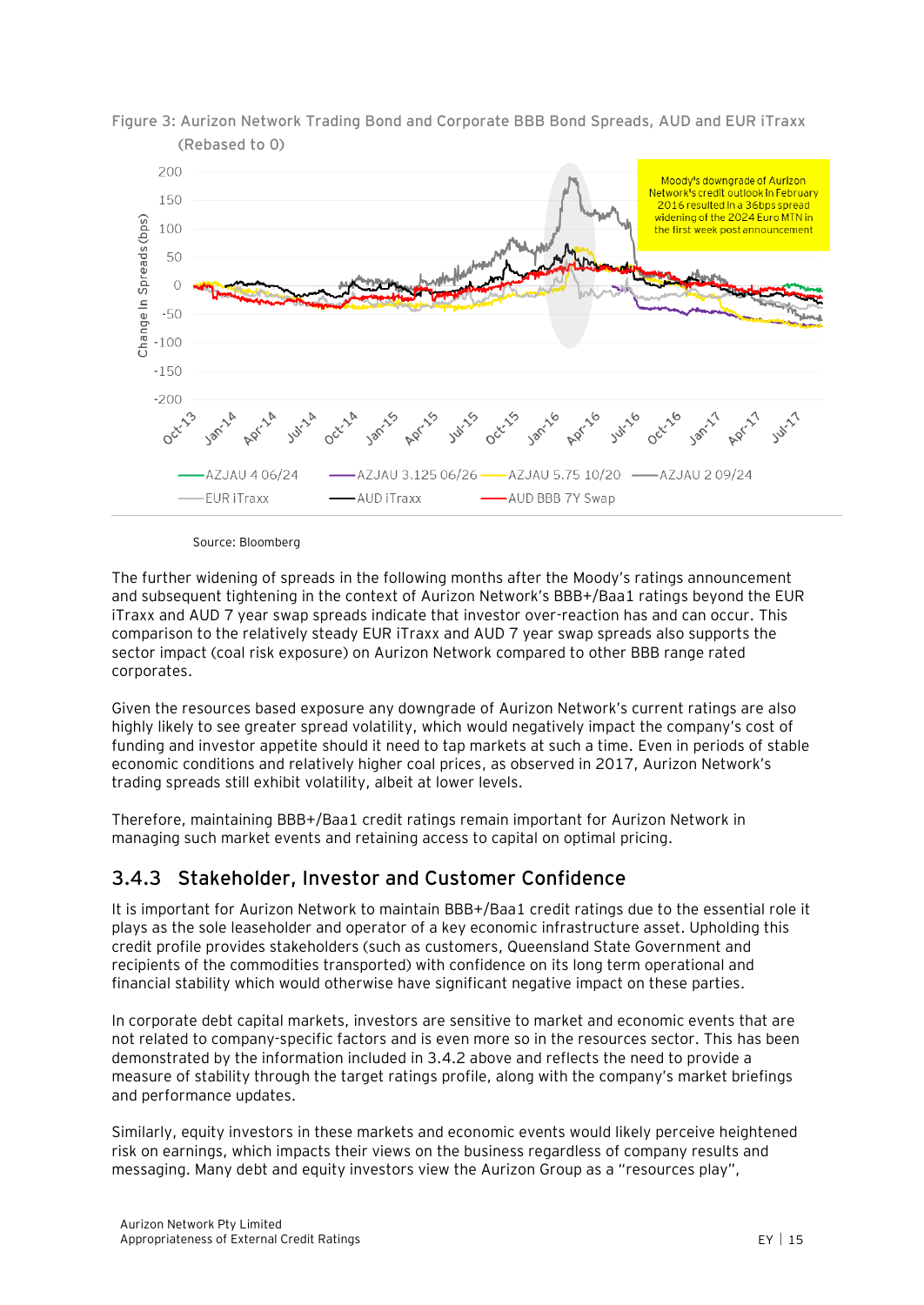



Source: Bloomberg

The further widening of spreads in the following months after the Moody's ratings announcement and subsequent tightening in the context of Aurizon Network's BBB+/Baa1 ratings beyond the EUR iTraxx and AUD 7 year swap spreads indicate that investor over-reaction has and can occur. This comparison to the relatively steady EUR iTraxx and AUD 7 year swap spreads also supports the sector impact (coal risk exposure) on Aurizon Network compared to other BBB range rated corporates.

Given the resources based exposure any downgrade of Aurizon Network's current ratings are also highly likely to see greater spread volatility, which would negatively impact the company's cost of funding and investor appetite should it need to tap markets at such a time. Even in periods of stable economic conditions and relatively higher coal prices, as observed in 2017, Aurizon Network's trading spreads still exhibit volatility, albeit at lower levels.

Therefore, maintaining BBB+/Baa1 credit ratings remain important for Aurizon Network in managing such market events and retaining access to capital on optimal pricing.

#### **3.4.3 Stakeholder, Investor and Customer Confidence**

It is important for Aurizon Network to maintain BBB+/Baa1 credit ratings due to the essential role it plays as the sole leaseholder and operator of a key economic infrastructure asset. Upholding this credit profile provides stakeholders (such as customers, Queensland State Government and recipients of the commodities transported) with confidence on its long term operational and financial stability which would otherwise have significant negative impact on these parties.

In corporate debt capital markets, investors are sensitive to market and economic events that are not related to company-specific factors and is even more so in the resources sector. This has been demonstrated by the information included in 3.4.2 above and reflects the need to provide a measure of stability through the target ratings profile, along with the company's market briefings and performance updates.

Similarly, equity investors in these markets and economic events would likely perceive heightened risk on earnings, which impacts their views on the business regardless of company results and messaging. Many debt and equity investors view the Aurizon Group as a "resources play",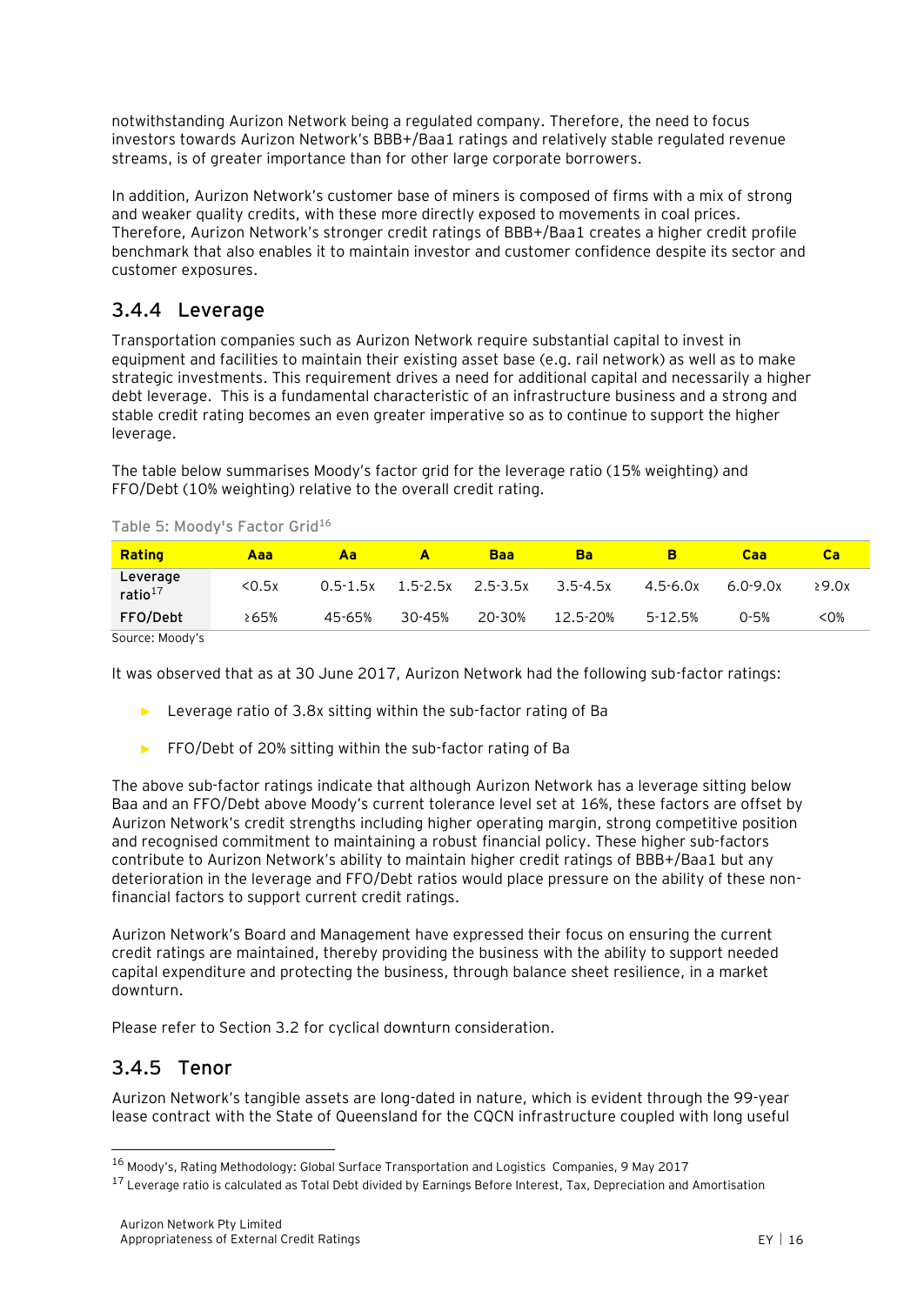notwithstanding Aurizon Network being a regulated company. Therefore, the need to focus investors towards Aurizon Network's BBB+/Baa1 ratings and relatively stable regulated revenue streams, is of greater importance than for other large corporate borrowers.

In addition, Aurizon Network's customer base of miners is composed of firms with a mix of strong and weaker quality credits, with these more directly exposed to movements in coal prices. Therefore, Aurizon Network's stronger credit ratings of BBB+/Baa1 creates a higher credit profile benchmark that also enables it to maintain investor and customer confidence despite its sector and customer exposures.

### **3.4.4 Leverage**

Transportation companies such as Aurizon Network require substantial capital to invest in equipment and facilities to maintain their existing asset base (e.g. rail network) as well as to make strategic investments. This requirement drives a need for additional capital and necessarily a higher debt leverage. This is a fundamental characteristic of an infrastructure business and a strong and stable credit rating becomes an even greater imperative so as to continue to support the higher leverage.

The table below summarises Moody's factor grid for the leverage ratio (15% weighting) and FFO/Debt (10% weighting) relative to the overall credit rating.

| Rating                          | Aaa   | Aa           | A            | <b>Baa</b> | Ba       |             | Caa          | ca    |
|---------------------------------|-------|--------------|--------------|------------|----------|-------------|--------------|-------|
| Leverage<br>ratio <sup>17</sup> | 50.5x | $0.5 - 1.5x$ | $1.5 - 2.5x$ | 2.5-3.5x   | 3.5-4.5x | 4.5-6.0x    | $6.0 - 9.0x$ | 29.0x |
| FFO/Debt                        | 265%  | 45-65%       | 30-45%       | 20-30%     | 12.5-20% | $5 - 12.5%$ | $0 - 5%$     | <0%   |

**Table 5: Moody's Factor Grid<sup>16</sup>**

Source: Moody's

It was observed that as at 30 June 2017, Aurizon Network had the following sub-factor ratings:

- ► Leverage ratio of 3.8x sitting within the sub-factor rating of Ba
- ► FFO/Debt of 20% sitting within the sub-factor rating of Ba

The above sub-factor ratings indicate that although Aurizon Network has a leverage sitting below Baa and an FFO/Debt above Moody's current tolerance level set at 16%, these factors are offset by Aurizon Network's credit strengths including higher operating margin, strong competitive position and recognised commitment to maintaining a robust financial policy. These higher sub-factors contribute to Aurizon Network's ability to maintain higher credit ratings of BBB+/Baa1 but any deterioration in the leverage and FFO/Debt ratios would place pressure on the ability of these nonfinancial factors to support current credit ratings.

Aurizon Network's Board and Management have expressed their focus on ensuring the current credit ratings are maintained, thereby providing the business with the ability to support needed capital expenditure and protecting the business, through balance sheet resilience, in a market downturn.

Please refer to Section 3.2 for cyclical downturn consideration.

#### **3.4.5 Tenor**

 $\overline{a}$ 

Aurizon Network's tangible assets are long-dated in nature, which is evident through the 99-year lease contract with the State of Queensland for the CQCN infrastructure coupled with long useful

<sup>16</sup> Moody's, Rating Methodology: Global Surface Transportation and Logistics Companies, 9 May 2017

<sup>&</sup>lt;sup>17</sup> Leverage ratio is calculated as Total Debt divided by Earnings Before Interest, Tax, Depreciation and Amortisation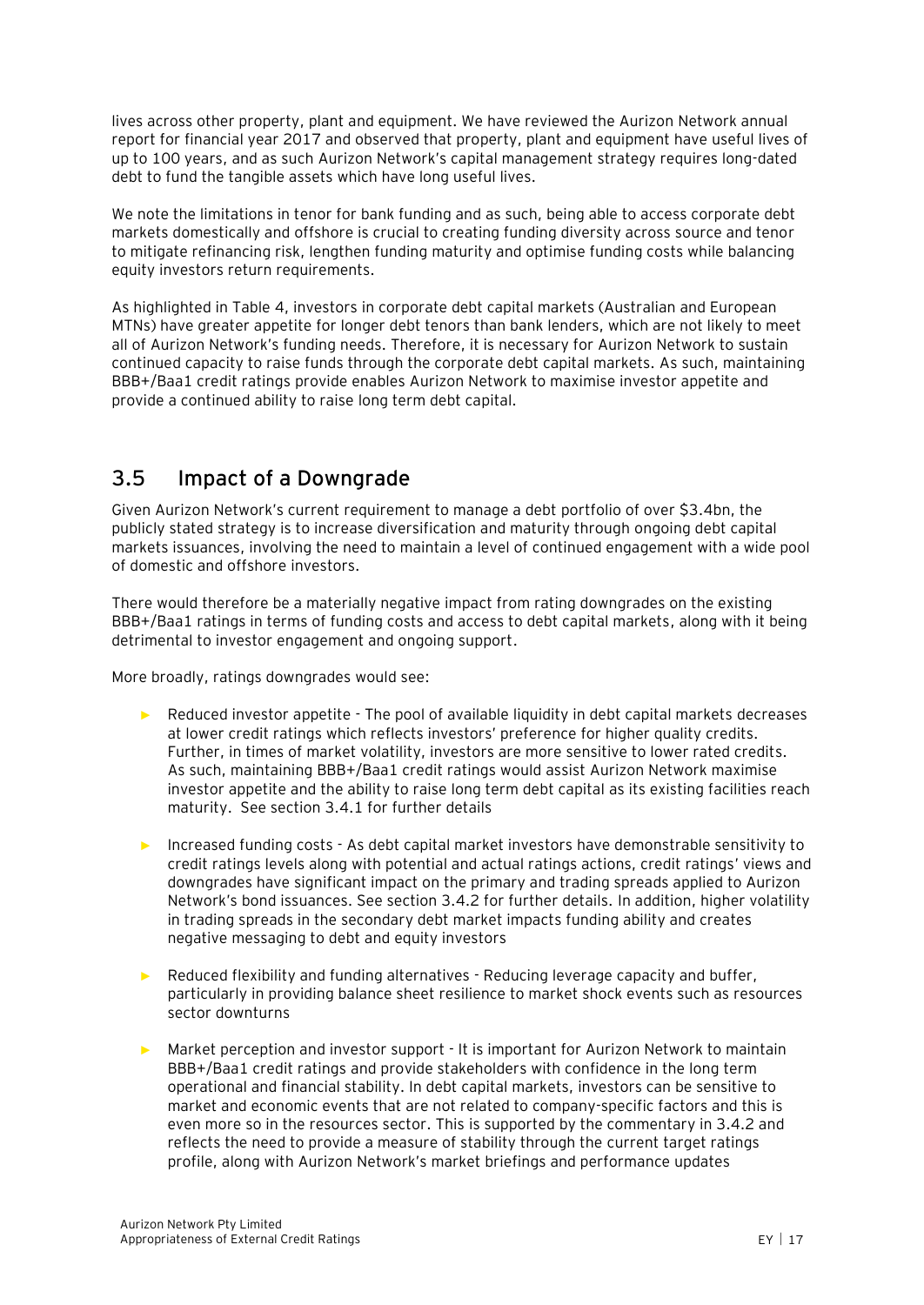lives across other property, plant and equipment. We have reviewed the Aurizon Network annual report for financial year 2017 and observed that property, plant and equipment have useful lives of up to 100 years, and as such Aurizon Network's capital management strategy requires long-dated debt to fund the tangible assets which have long useful lives.

We note the limitations in tenor for bank funding and as such, being able to access corporate debt markets domestically and offshore is crucial to creating funding diversity across source and tenor to mitigate refinancing risk, lengthen funding maturity and optimise funding costs while balancing equity investors return requirements.

As highlighted in Table 4, investors in corporate debt capital markets (Australian and European MTNs) have greater appetite for longer debt tenors than bank lenders, which are not likely to meet all of Aurizon Network's funding needs. Therefore, it is necessary for Aurizon Network to sustain continued capacity to raise funds through the corporate debt capital markets. As such, maintaining BBB+/Baa1 credit ratings provide enables Aurizon Network to maximise investor appetite and provide a continued ability to raise long term debt capital.

### <span id="page-21-0"></span>**3.5 Impact of a Downgrade**

Given Aurizon Network's current requirement to manage a debt portfolio of over \$3.4bn, the publicly stated strategy is to increase diversification and maturity through ongoing debt capital markets issuances, involving the need to maintain a level of continued engagement with a wide pool of domestic and offshore investors.

There would therefore be a materially negative impact from rating downgrades on the existing BBB+/Baa1 ratings in terms of funding costs and access to debt capital markets, along with it being detrimental to investor engagement and ongoing support.

More broadly, ratings downgrades would see:

- ► Reduced investor appetite The pool of available liquidity in debt capital markets decreases at lower credit ratings which reflects investors' preference for higher quality credits. Further, in times of market volatility, investors are more sensitive to lower rated credits. As such, maintaining BBB+/Baa1 credit ratings would assist Aurizon Network maximise investor appetite and the ability to raise long term debt capital as its existing facilities reach maturity. See section 3.4.1 for further details
- ► Increased funding costs As debt capital market investors have demonstrable sensitivity to credit ratings levels along with potential and actual ratings actions, credit ratings' views and downgrades have significant impact on the primary and trading spreads applied to Aurizon Network's bond issuances. See section 3.4.2 for further details. In addition, higher volatility in trading spreads in the secondary debt market impacts funding ability and creates negative messaging to debt and equity investors
- ► Reduced flexibility and funding alternatives Reducing leverage capacity and buffer, particularly in providing balance sheet resilience to market shock events such as resources sector downturns
- ► Market perception and investor support It is important for Aurizon Network to maintain BBB+/Baa1 credit ratings and provide stakeholders with confidence in the long term operational and financial stability. In debt capital markets, investors can be sensitive to market and economic events that are not related to company-specific factors and this is even more so in the resources sector. This is supported by the commentary in 3.4.2 and reflects the need to provide a measure of stability through the current target ratings profile, along with Aurizon Network's market briefings and performance updates